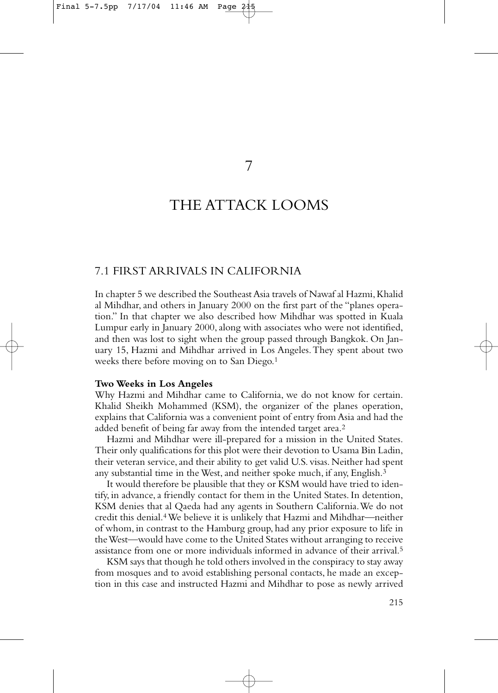7

# THE ATTACK LOOMS

# 7.1 FIRST ARRIVALS IN CALIFORNIA

In chapter 5 we described the Southeast Asia travels of Nawaf al Hazmi,Khalid al Mihdhar, and others in January 2000 on the first part of the "planes operation." In that chapter we also described how Mihdhar was spotted in Kuala Lumpur early in January 2000, along with associates who were not identified, and then was lost to sight when the group passed through Bangkok. On January 15, Hazmi and Mihdhar arrived in Los Angeles.They spent about two weeks there before moving on to San Diego.<sup>1</sup>

#### **Two Weeks in Los Angeles**

Why Hazmi and Mihdhar came to California, we do not know for certain. Khalid Sheikh Mohammed (KSM), the organizer of the planes operation, explains that California was a convenient point of entry from Asia and had the added benefit of being far away from the intended target area.<sup>2</sup>

Hazmi and Mihdhar were ill-prepared for a mission in the United States. Their only qualifications for this plot were their devotion to Usama Bin Ladin, their veteran service, and their ability to get valid U.S. visas. Neither had spent any substantial time in the West, and neither spoke much, if any, English.3

It would therefore be plausible that they or KSM would have tried to identify, in advance, a friendly contact for them in the United States. In detention, KSM denies that al Qaeda had any agents in Southern California.We do not credit this denial.4We believe it is unlikely that Hazmi and Mihdhar—neither of whom, in contrast to the Hamburg group, had any prior exposure to life in the West—would have come to the United States without arranging to receive assistance from one or more individuals informed in advance of their arrival.5

KSM says that though he told others involved in the conspiracy to stay away from mosques and to avoid establishing personal contacts, he made an exception in this case and instructed Hazmi and Mihdhar to pose as newly arrived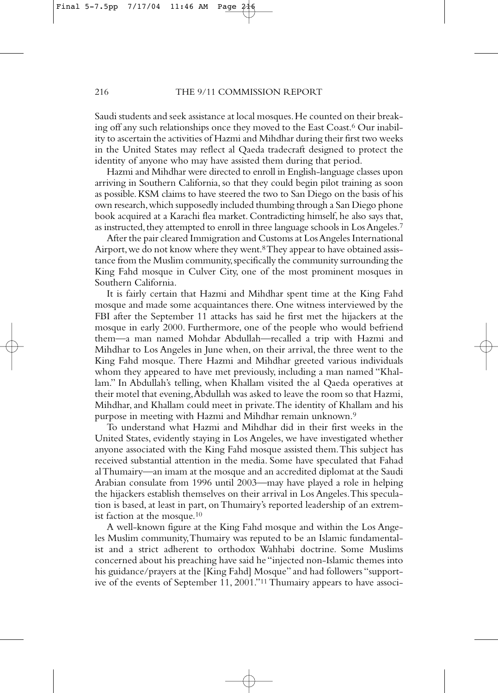Saudi students and seek assistance at local mosques.He counted on their breaking off any such relationships once they moved to the East Coast.6 Our inability to ascertain the activities of Hazmi and Mihdhar during their first two weeks in the United States may reflect al Qaeda tradecraft designed to protect the identity of anyone who may have assisted them during that period.

Hazmi and Mihdhar were directed to enroll in English-language classes upon arriving in Southern California, so that they could begin pilot training as soon as possible. KSM claims to have steered the two to San Diego on the basis of his own research,which supposedly included thumbing through a San Diego phone book acquired at a Karachi flea market. Contradicting himself, he also says that, as instructed, they attempted to enroll in three language schools in Los Angeles.<sup>7</sup>

After the pair cleared Immigration and Customs at Los Angeles International Airport, we do not know where they went.<sup>8</sup>They appear to have obtained assistance from the Muslim community,specifically the community surrounding the King Fahd mosque in Culver City, one of the most prominent mosques in Southern California.

It is fairly certain that Hazmi and Mihdhar spent time at the King Fahd mosque and made some acquaintances there. One witness interviewed by the FBI after the September 11 attacks has said he first met the hijackers at the mosque in early 2000. Furthermore, one of the people who would befriend them—a man named Mohdar Abdullah—recalled a trip with Hazmi and Mihdhar to Los Angeles in June when, on their arrival, the three went to the King Fahd mosque. There Hazmi and Mihdhar greeted various individuals whom they appeared to have met previously, including a man named "Khallam." In Abdullah's telling, when Khallam visited the al Qaeda operatives at their motel that evening,Abdullah was asked to leave the room so that Hazmi, Mihdhar, and Khallam could meet in private.The identity of Khallam and his purpose in meeting with Hazmi and Mihdhar remain unknown.9

To understand what Hazmi and Mihdhar did in their first weeks in the United States, evidently staying in Los Angeles, we have investigated whether anyone associated with the King Fahd mosque assisted them.This subject has received substantial attention in the media. Some have speculated that Fahad al Thumairy—an imam at the mosque and an accredited diplomat at the Saudi Arabian consulate from 1996 until 2003—may have played a role in helping the hijackers establish themselves on their arrival in Los Angeles.This speculation is based, at least in part, on Thumairy's reported leadership of an extremist faction at the mosque.10

A well-known figure at the King Fahd mosque and within the Los Angeles Muslim community,Thumairy was reputed to be an Islamic fundamentalist and a strict adherent to orthodox Wahhabi doctrine. Some Muslims concerned about his preaching have said he "injected non-Islamic themes into his guidance/prayers at the [King Fahd] Mosque" and had followers "supportive of the events of September 11, 2001."11Thumairy appears to have associ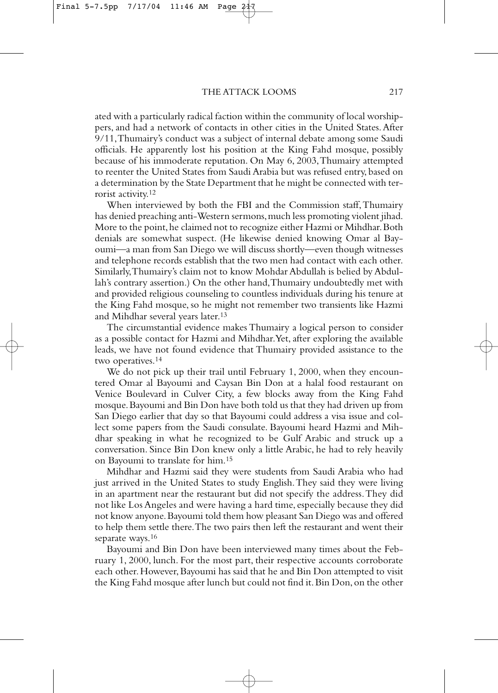ated with a particularly radical faction within the community of local worshippers, and had a network of contacts in other cities in the United States.After 9/11,Thumairy's conduct was a subject of internal debate among some Saudi officials. He apparently lost his position at the King Fahd mosque, possibly because of his immoderate reputation. On May 6, 2003,Thumairy attempted to reenter the United States from Saudi Arabia but was refused entry, based on a determination by the State Department that he might be connected with terrorist activity.12

When interviewed by both the FBI and the Commission staff,Thumairy has denied preaching anti-Western sermons,much less promoting violent jihad. More to the point, he claimed not to recognize either Hazmi or Mihdhar. Both denials are somewhat suspect. (He likewise denied knowing Omar al Bayoumi—a man from San Diego we will discuss shortly—even though witnesses and telephone records establish that the two men had contact with each other. Similarly,Thumairy's claim not to know Mohdar Abdullah is belied by Abdullah's contrary assertion.) On the other hand,Thumairy undoubtedly met with and provided religious counseling to countless individuals during his tenure at the King Fahd mosque, so he might not remember two transients like Hazmi and Mihdhar several years later.13

The circumstantial evidence makes Thumairy a logical person to consider as a possible contact for Hazmi and Mihdhar.Yet, after exploring the available leads, we have not found evidence that Thumairy provided assistance to the two operatives.14

We do not pick up their trail until February 1, 2000, when they encountered Omar al Bayoumi and Caysan Bin Don at a halal food restaurant on Venice Boulevard in Culver City, a few blocks away from the King Fahd mosque.Bayoumi and Bin Don have both told us that they had driven up from San Diego earlier that day so that Bayoumi could address a visa issue and collect some papers from the Saudi consulate. Bayoumi heard Hazmi and Mihdhar speaking in what he recognized to be Gulf Arabic and struck up a conversation. Since Bin Don knew only a little Arabic, he had to rely heavily on Bayoumi to translate for him.15

Mihdhar and Hazmi said they were students from Saudi Arabia who had just arrived in the United States to study English.They said they were living in an apartment near the restaurant but did not specify the address.They did not like Los Angeles and were having a hard time, especially because they did not know anyone.Bayoumi told them how pleasant San Diego was and offered to help them settle there.The two pairs then left the restaurant and went their separate ways.<sup>16</sup>

Bayoumi and Bin Don have been interviewed many times about the February 1, 2000, lunch. For the most part, their respective accounts corroborate each other. However, Bayoumi has said that he and Bin Don attempted to visit the King Fahd mosque after lunch but could not find it. Bin Don, on the other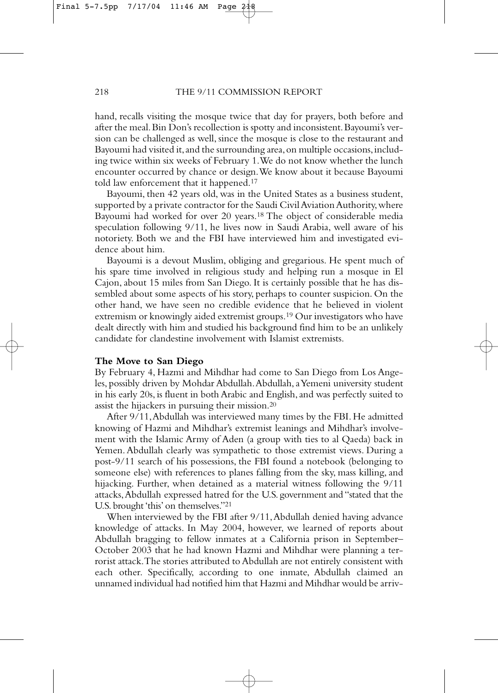hand, recalls visiting the mosque twice that day for prayers, both before and after the meal.Bin Don's recollection is spotty and inconsistent.Bayoumi's version can be challenged as well, since the mosque is close to the restaurant and Bayoumi had visited it, and the surrounding area, on multiple occasions, including twice within six weeks of February 1.We do not know whether the lunch encounter occurred by chance or design.We know about it because Bayoumi told law enforcement that it happened.17

Bayoumi, then 42 years old, was in the United States as a business student, supported by a private contractor for the Saudi Civil Aviation Authority, where Bayoumi had worked for over 20 years.18 The object of considerable media speculation following 9/11, he lives now in Saudi Arabia, well aware of his notoriety. Both we and the FBI have interviewed him and investigated evidence about him.

Bayoumi is a devout Muslim, obliging and gregarious. He spent much of his spare time involved in religious study and helping run a mosque in El Cajon, about 15 miles from San Diego. It is certainly possible that he has dissembled about some aspects of his story, perhaps to counter suspicion. On the other hand, we have seen no credible evidence that he believed in violent extremism or knowingly aided extremist groups.19 Our investigators who have dealt directly with him and studied his background find him to be an unlikely candidate for clandestine involvement with Islamist extremists.

#### **The Move to San Diego**

By February 4, Hazmi and Mihdhar had come to San Diego from Los Angeles, possibly driven by Mohdar Abdullah.Abdullah, a Yemeni university student in his early 20s, is fluent in both Arabic and English, and was perfectly suited to assist the hijackers in pursuing their mission.20

After 9/11,Abdullah was interviewed many times by the FBI. He admitted knowing of Hazmi and Mihdhar's extremist leanings and Mihdhar's involvement with the Islamic Army of Aden (a group with ties to al Qaeda) back in Yemen. Abdullah clearly was sympathetic to those extremist views. During a post-9/11 search of his possessions, the FBI found a notebook (belonging to someone else) with references to planes falling from the sky, mass killing, and hijacking. Further, when detained as a material witness following the 9/11 attacks,Abdullah expressed hatred for the U.S. government and "stated that the U.S. brought 'this' on themselves."21

When interviewed by the FBI after 9/11,Abdullah denied having advance knowledge of attacks. In May 2004, however, we learned of reports about Abdullah bragging to fellow inmates at a California prison in September– October 2003 that he had known Hazmi and Mihdhar were planning a terrorist attack.The stories attributed to Abdullah are not entirely consistent with each other. Specifically, according to one inmate, Abdullah claimed an unnamed individual had notified him that Hazmi and Mihdhar would be arriv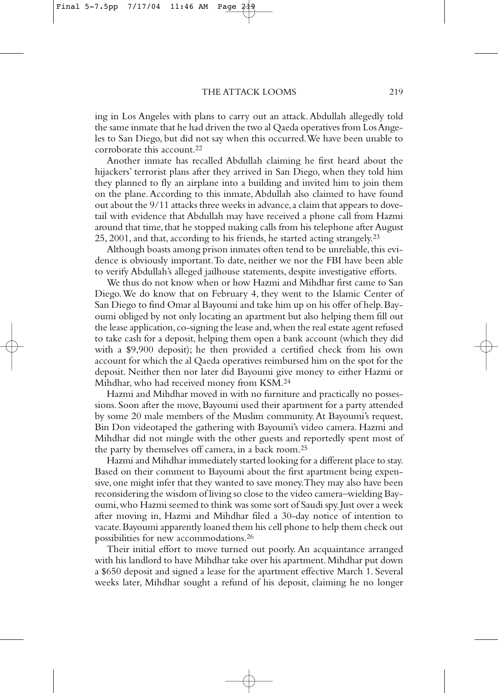ing in Los Angeles with plans to carry out an attack. Abdullah allegedly told the same inmate that he had driven the two al Qaeda operatives from Los Angeles to San Diego, but did not say when this occurred.We have been unable to corroborate this account.22

Another inmate has recalled Abdullah claiming he first heard about the hijackers' terrorist plans after they arrived in San Diego, when they told him they planned to fly an airplane into a building and invited him to join them on the plane. According to this inmate, Abdullah also claimed to have found out about the 9/11 attacks three weeks in advance, a claim that appears to dovetail with evidence that Abdullah may have received a phone call from Hazmi around that time, that he stopped making calls from his telephone after August 25, 2001, and that, according to his friends, he started acting strangely.23

Although boasts among prison inmates often tend to be unreliable, this evidence is obviously important.To date, neither we nor the FBI have been able to verify Abdullah's alleged jailhouse statements, despite investigative efforts.

We thus do not know when or how Hazmi and Mihdhar first came to San Diego.We do know that on February 4, they went to the Islamic Center of San Diego to find Omar al Bayoumi and take him up on his offer of help.Bayoumi obliged by not only locating an apartment but also helping them fill out the lease application, co-signing the lease and, when the real estate agent refused to take cash for a deposit, helping them open a bank account (which they did with a \$9,900 deposit); he then provided a certified check from his own account for which the al Qaeda operatives reimbursed him on the spot for the deposit. Neither then nor later did Bayoumi give money to either Hazmi or Mihdhar, who had received money from KSM.24

Hazmi and Mihdhar moved in with no furniture and practically no possessions. Soon after the move, Bayoumi used their apartment for a party attended by some 20 male members of the Muslim community.At Bayoumi's request, Bin Don videotaped the gathering with Bayoumi's video camera. Hazmi and Mihdhar did not mingle with the other guests and reportedly spent most of the party by themselves off camera, in a back room.25

Hazmi and Mihdhar immediately started looking for a different place to stay. Based on their comment to Bayoumi about the first apartment being expensive, one might infer that they wanted to save money.They may also have been reconsidering the wisdom of living so close to the video camera–wielding Bayoumi,who Hazmi seemed to think was some sort of Saudi spy.Just over a week after moving in, Hazmi and Mihdhar filed a 30-day notice of intention to vacate.Bayoumi apparently loaned them his cell phone to help them check out possibilities for new accommodations.26

Their initial effort to move turned out poorly. An acquaintance arranged with his landlord to have Mihdhar take over his apartment.Mihdhar put down a \$650 deposit and signed a lease for the apartment effective March 1. Several weeks later, Mihdhar sought a refund of his deposit, claiming he no longer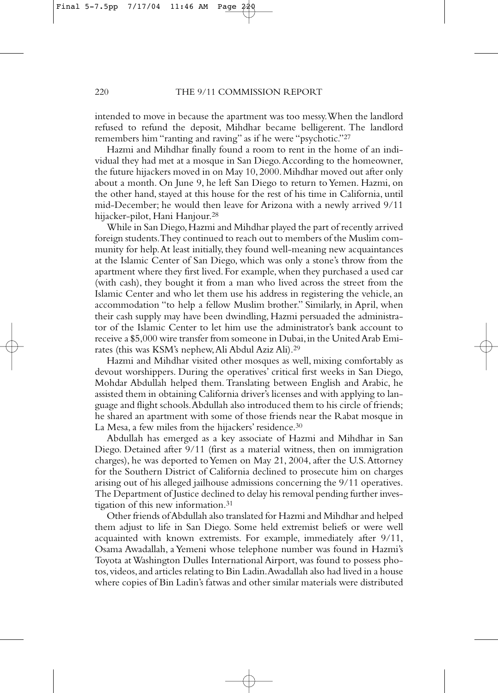intended to move in because the apartment was too messy.When the landlord refused to refund the deposit, Mihdhar became belligerent. The landlord remembers him "ranting and raving" as if he were "psychotic."27

Hazmi and Mihdhar finally found a room to rent in the home of an individual they had met at a mosque in San Diego.According to the homeowner, the future hijackers moved in on May 10,2000.Mihdhar moved out after only about a month. On June 9, he left San Diego to return to Yemen. Hazmi, on the other hand, stayed at this house for the rest of his time in California, until mid-December; he would then leave for Arizona with a newly arrived 9/11 hijacker-pilot, Hani Hanjour.28

While in San Diego, Hazmi and Mihdhar played the part of recently arrived foreign students.They continued to reach out to members of the Muslim community for help.At least initially, they found well-meaning new acquaintances at the Islamic Center of San Diego, which was only a stone's throw from the apartment where they first lived. For example, when they purchased a used car (with cash), they bought it from a man who lived across the street from the Islamic Center and who let them use his address in registering the vehicle, an accommodation "to help a fellow Muslim brother." Similarly, in April, when their cash supply may have been dwindling, Hazmi persuaded the administrator of the Islamic Center to let him use the administrator's bank account to receive a \$5,000 wire transfer from someone in Dubai, in the United Arab Emirates (this was KSM's nephew,Ali Abdul Aziz Ali).29

Hazmi and Mihdhar visited other mosques as well, mixing comfortably as devout worshippers. During the operatives' critical first weeks in San Diego, Mohdar Abdullah helped them. Translating between English and Arabic, he assisted them in obtaining California driver's licenses and with applying to language and flight schools.Abdullah also introduced them to his circle of friends; he shared an apartment with some of those friends near the Rabat mosque in La Mesa, a few miles from the hijackers' residence.30

Abdullah has emerged as a key associate of Hazmi and Mihdhar in San Diego. Detained after 9/11 (first as a material witness, then on immigration charges), he was deported to Yemen on May 21, 2004, after the U.S.Attorney for the Southern District of California declined to prosecute him on charges arising out of his alleged jailhouse admissions concerning the 9/11 operatives. The Department of Justice declined to delay his removal pending further investigation of this new information.31

Other friends of Abdullah also translated for Hazmi and Mihdhar and helped them adjust to life in San Diego. Some held extremist beliefs or were well acquainted with known extremists. For example, immediately after 9/11, Osama Awadallah, a Yemeni whose telephone number was found in Hazmi's Toyota at Washington Dulles International Airport, was found to possess photos, videos, and articles relating to Bin Ladin. Awadallah also had lived in a house where copies of Bin Ladin's fatwas and other similar materials were distributed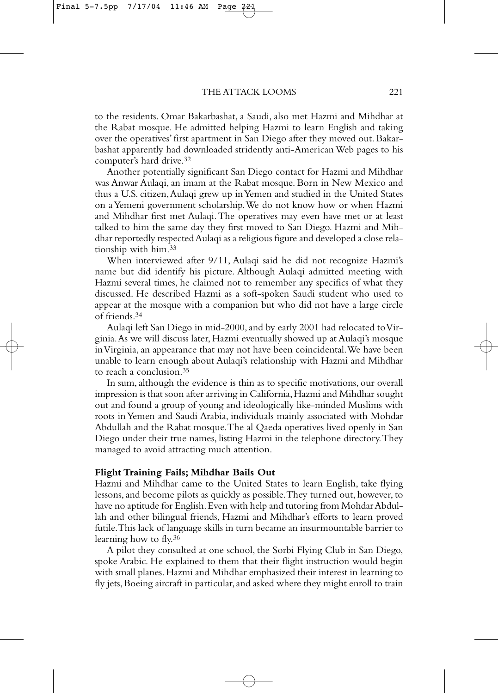to the residents. Omar Bakarbashat, a Saudi, also met Hazmi and Mihdhar at the Rabat mosque. He admitted helping Hazmi to learn English and taking over the operatives' first apartment in San Diego after they moved out. Bakarbashat apparently had downloaded stridently anti-American Web pages to his computer's hard drive.32

Another potentially significant San Diego contact for Hazmi and Mihdhar was Anwar Aulaqi, an imam at the Rabat mosque. Born in New Mexico and thus a U.S. citizen,Aulaqi grew up in Yemen and studied in the United States on a Yemeni government scholarship.We do not know how or when Hazmi and Mihdhar first met Aulaqi.The operatives may even have met or at least talked to him the same day they first moved to San Diego. Hazmi and Mihdhar reportedly respected Aulaqi as a religious figure and developed a close relationship with him.33

When interviewed after 9/11, Aulaqi said he did not recognize Hazmi's name but did identify his picture. Although Aulaqi admitted meeting with Hazmi several times, he claimed not to remember any specifics of what they discussed. He described Hazmi as a soft-spoken Saudi student who used to appear at the mosque with a companion but who did not have a large circle of friends.34

Aulaqi left San Diego in mid-2000, and by early 2001 had relocated to Virginia.As we will discuss later, Hazmi eventually showed up at Aulaqi's mosque in Virginia, an appearance that may not have been coincidental.We have been unable to learn enough about Aulaqi's relationship with Hazmi and Mihdhar to reach a conclusion.35

In sum, although the evidence is thin as to specific motivations, our overall impression is that soon after arriving in California,Hazmi and Mihdhar sought out and found a group of young and ideologically like-minded Muslims with roots in Yemen and Saudi Arabia, individuals mainly associated with Mohdar Abdullah and the Rabat mosque.The al Qaeda operatives lived openly in San Diego under their true names, listing Hazmi in the telephone directory.They managed to avoid attracting much attention.

## **Flight Training Fails; Mihdhar Bails Out**

Hazmi and Mihdhar came to the United States to learn English, take flying lessons, and become pilots as quickly as possible.They turned out, however, to have no aptitude for English.Even with help and tutoring from Mohdar Abdullah and other bilingual friends, Hazmi and Mihdhar's efforts to learn proved futile.This lack of language skills in turn became an insurmountable barrier to learning how to fly.36

A pilot they consulted at one school, the Sorbi Flying Club in San Diego, spoke Arabic. He explained to them that their flight instruction would begin with small planes. Hazmi and Mihdhar emphasized their interest in learning to fly jets, Boeing aircraft in particular, and asked where they might enroll to train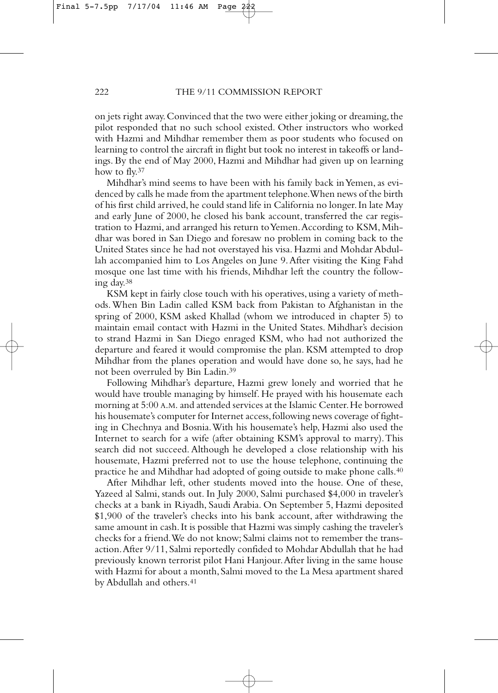on jets right away. Convinced that the two were either joking or dreaming, the pilot responded that no such school existed. Other instructors who worked with Hazmi and Mihdhar remember them as poor students who focused on learning to control the aircraft in flight but took no interest in takeoffs or landings. By the end of May 2000, Hazmi and Mihdhar had given up on learning how to fly.37

Mihdhar's mind seems to have been with his family back in Yemen, as evidenced by calls he made from the apartment telephone.When news of the birth of his first child arrived,he could stand life in California no longer.In late May and early June of 2000, he closed his bank account, transferred the car registration to Hazmi, and arranged his return to Yemen.According to KSM, Mihdhar was bored in San Diego and foresaw no problem in coming back to the United States since he had not overstayed his visa. Hazmi and Mohdar Abdullah accompanied him to Los Angeles on June 9.After visiting the King Fahd mosque one last time with his friends, Mihdhar left the country the following day.38

KSM kept in fairly close touch with his operatives, using a variety of methods.When Bin Ladin called KSM back from Pakistan to Afghanistan in the spring of 2000, KSM asked Khallad (whom we introduced in chapter 5) to maintain email contact with Hazmi in the United States. Mihdhar's decision to strand Hazmi in San Diego enraged KSM, who had not authorized the departure and feared it would compromise the plan. KSM attempted to drop Mihdhar from the planes operation and would have done so, he says, had he not been overruled by Bin Ladin.39

Following Mihdhar's departure, Hazmi grew lonely and worried that he would have trouble managing by himself. He prayed with his housemate each morning at 5:00 A.M. and attended services at the Islamic Center.He borrowed his housemate's computer for Internet access, following news coverage of fighting in Chechnya and Bosnia.With his housemate's help, Hazmi also used the Internet to search for a wife (after obtaining KSM's approval to marry).This search did not succeed. Although he developed a close relationship with his housemate, Hazmi preferred not to use the house telephone, continuing the practice he and Mihdhar had adopted of going outside to make phone calls.40

After Mihdhar left, other students moved into the house. One of these, Yazeed al Salmi, stands out. In July 2000, Salmi purchased \$4,000 in traveler's checks at a bank in Riyadh, Saudi Arabia. On September 5, Hazmi deposited \$1,900 of the traveler's checks into his bank account, after withdrawing the same amount in cash. It is possible that Hazmi was simply cashing the traveler's checks for a friend.We do not know; Salmi claims not to remember the transaction.After 9/11, Salmi reportedly confided to Mohdar Abdullah that he had previously known terrorist pilot Hani Hanjour.After living in the same house with Hazmi for about a month, Salmi moved to the La Mesa apartment shared by Abdullah and others.41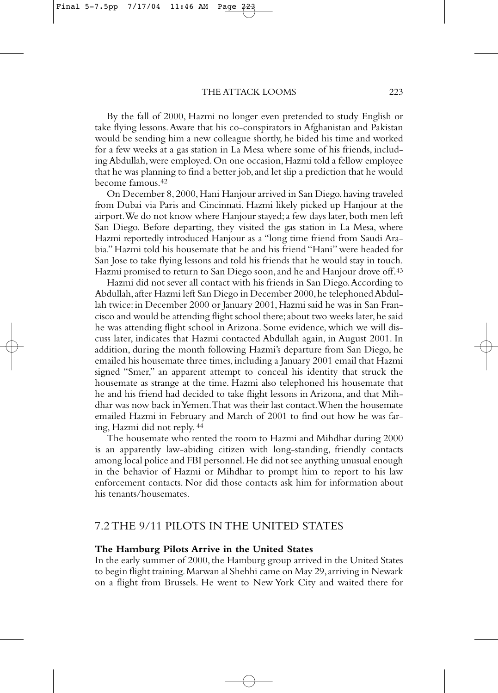By the fall of 2000, Hazmi no longer even pretended to study English or take flying lessons.Aware that his co-conspirators in Afghanistan and Pakistan would be sending him a new colleague shortly, he bided his time and worked for a few weeks at a gas station in La Mesa where some of his friends, including Abdullah, were employed. On one occasion, Hazmi told a fellow employee that he was planning to find a better job,and let slip a prediction that he would become famous.42

On December 8, 2000, Hani Hanjour arrived in San Diego, having traveled from Dubai via Paris and Cincinnati. Hazmi likely picked up Hanjour at the airport.We do not know where Hanjour stayed; a few days later, both men left San Diego. Before departing, they visited the gas station in La Mesa, where Hazmi reportedly introduced Hanjour as a "long time friend from Saudi Arabia." Hazmi told his housemate that he and his friend "Hani" were headed for San Jose to take flying lessons and told his friends that he would stay in touch. Hazmi promised to return to San Diego soon, and he and Hanjour drove off.<sup>43</sup>

Hazmi did not sever all contact with his friends in San Diego.According to Abdullah, after Hazmi left San Diego in December 2000, he telephoned Abdullah twice: in December 2000 or January 2001, Hazmi said he was in San Francisco and would be attending flight school there; about two weeks later, he said he was attending flight school in Arizona. Some evidence, which we will discuss later, indicates that Hazmi contacted Abdullah again, in August 2001. In addition, during the month following Hazmi's departure from San Diego, he emailed his housemate three times,including a January 2001 email that Hazmi signed "Smer," an apparent attempt to conceal his identity that struck the housemate as strange at the time. Hazmi also telephoned his housemate that he and his friend had decided to take flight lessons in Arizona, and that Mihdhar was now back in Yemen.That was their last contact.When the housemate emailed Hazmi in February and March of 2001 to find out how he was faring, Hazmi did not reply. <sup>44</sup>

The housemate who rented the room to Hazmi and Mihdhar during 2000 is an apparently law-abiding citizen with long-standing, friendly contacts among local police and FBI personnel.He did not see anything unusual enough in the behavior of Hazmi or Mihdhar to prompt him to report to his law enforcement contacts. Nor did those contacts ask him for information about his tenants/housemates.

# 7.2 THE 9/11 PILOTS IN THE UNITED STATES

#### **The Hamburg Pilots Arrive in the United States**

In the early summer of 2000, the Hamburg group arrived in the United States to begin flight training. Marwan al Shehhi came on May 29, arriving in Newark on a flight from Brussels. He went to New York City and waited there for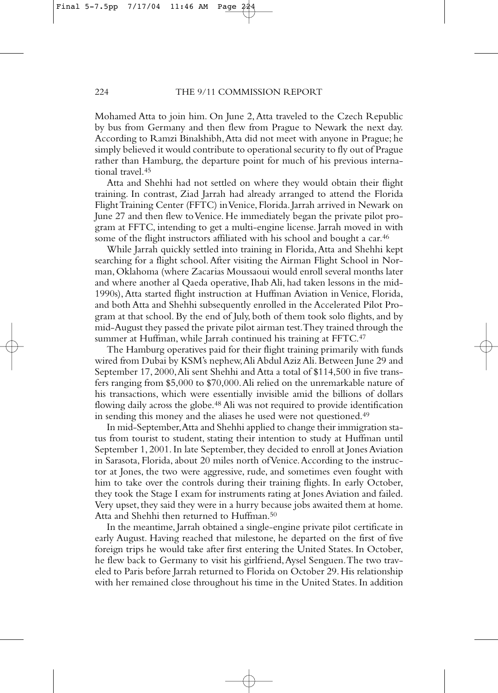Mohamed Atta to join him. On June 2,Atta traveled to the Czech Republic by bus from Germany and then flew from Prague to Newark the next day. According to Ramzi Binalshibh,Atta did not meet with anyone in Prague; he simply believed it would contribute to operational security to fly out of Prague rather than Hamburg, the departure point for much of his previous international travel.45

Atta and Shehhi had not settled on where they would obtain their flight training. In contrast, Ziad Jarrah had already arranged to attend the Florida Flight Training Center (FFTC) in Venice, Florida. Jarrah arrived in Newark on June 27 and then flew to Venice. He immediately began the private pilot program at FFTC, intending to get a multi-engine license. Jarrah moved in with some of the flight instructors affiliated with his school and bought a car.<sup>46</sup>

While Jarrah quickly settled into training in Florida,Atta and Shehhi kept searching for a flight school.After visiting the Airman Flight School in Norman, Oklahoma (where Zacarias Moussaoui would enroll several months later and where another al Qaeda operative, Ihab Ali, had taken lessons in the mid-1990s), Atta started flight instruction at Huffman Aviation in Venice, Florida, and both Atta and Shehhi subsequently enrolled in the Accelerated Pilot Program at that school. By the end of July, both of them took solo flights, and by mid-August they passed the private pilot airman test.They trained through the summer at Huffman, while Jarrah continued his training at FFTC.<sup>47</sup>

The Hamburg operatives paid for their flight training primarily with funds wired from Dubai by KSM's nephew,Ali Abdul Aziz Ali. Between June 29 and September 17, 2000,Ali sent Shehhi and Atta a total of \$114,500 in five transfers ranging from \$5,000 to \$70,000.Ali relied on the unremarkable nature of his transactions, which were essentially invisible amid the billions of dollars flowing daily across the globe.<sup>48</sup> Ali was not required to provide identification in sending this money and the aliases he used were not questioned.49

In mid-September,Atta and Shehhi applied to change their immigration status from tourist to student, stating their intention to study at Huffman until September 1, 2001. In late September, they decided to enroll at Jones Aviation in Sarasota, Florida, about 20 miles north of Venice.According to the instructor at Jones, the two were aggressive, rude, and sometimes even fought with him to take over the controls during their training flights. In early October, they took the Stage I exam for instruments rating at Jones Aviation and failed. Very upset, they said they were in a hurry because jobs awaited them at home. Atta and Shehhi then returned to Huffman.50

In the meantime, Jarrah obtained a single-engine private pilot certificate in early August. Having reached that milestone, he departed on the first of five foreign trips he would take after first entering the United States. In October, he flew back to Germany to visit his girlfriend,Aysel Senguen.The two traveled to Paris before Jarrah returned to Florida on October 29. His relationship with her remained close throughout his time in the United States. In addition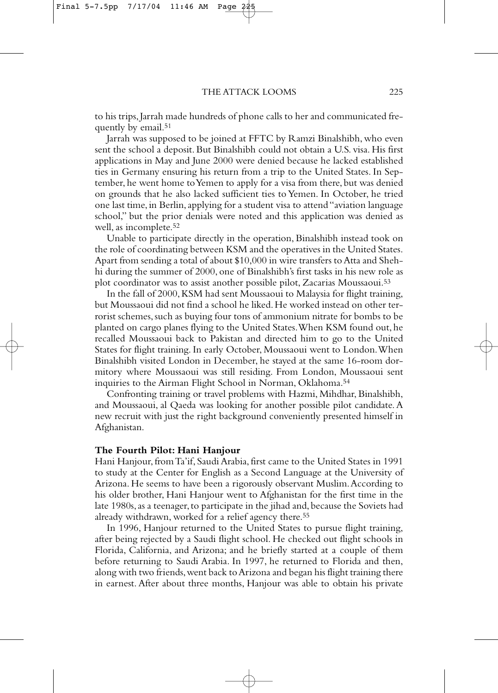to his trips,Jarrah made hundreds of phone calls to her and communicated frequently by email.<sup>51</sup>

Jarrah was supposed to be joined at FFTC by Ramzi Binalshibh, who even sent the school a deposit. But Binalshibh could not obtain a U.S. visa. His first applications in May and June 2000 were denied because he lacked established ties in Germany ensuring his return from a trip to the United States. In September, he went home to Yemen to apply for a visa from there, but was denied on grounds that he also lacked sufficient ties to Yemen. In October, he tried one last time, in Berlin, applying for a student visa to attend "aviation language school," but the prior denials were noted and this application was denied as well, as incomplete.52

Unable to participate directly in the operation, Binalshibh instead took on the role of coordinating between KSM and the operatives in the United States. Apart from sending a total of about \$10,000 in wire transfers to Atta and Shehhi during the summer of 2000, one of Binalshibh's first tasks in his new role as plot coordinator was to assist another possible pilot, Zacarias Moussaoui.53

In the fall of 2000, KSM had sent Moussaoui to Malaysia for flight training, but Moussaoui did not find a school he liked. He worked instead on other terrorist schemes, such as buying four tons of ammonium nitrate for bombs to be planted on cargo planes flying to the United States.When KSM found out, he recalled Moussaoui back to Pakistan and directed him to go to the United States for flight training. In early October, Moussaoui went to London.When Binalshibh visited London in December, he stayed at the same 16-room dormitory where Moussaoui was still residing. From London, Moussaoui sent inquiries to the Airman Flight School in Norman, Oklahoma.54

Confronting training or travel problems with Hazmi, Mihdhar, Binalshibh, and Moussaoui, al Qaeda was looking for another possible pilot candidate. A new recruit with just the right background conveniently presented himself in Afghanistan.

#### **The Fourth Pilot: Hani Hanjour**

Hani Hanjour, from Ta'if, Saudi Arabia, first came to the United States in 1991 to study at the Center for English as a Second Language at the University of Arizona. He seems to have been a rigorously observant Muslim.According to his older brother, Hani Hanjour went to Afghanistan for the first time in the late 1980s, as a teenager, to participate in the jihad and, because the Soviets had already withdrawn, worked for a relief agency there.55

In 1996, Hanjour returned to the United States to pursue flight training, after being rejected by a Saudi flight school. He checked out flight schools in Florida, California, and Arizona; and he briefly started at a couple of them before returning to Saudi Arabia. In 1997, he returned to Florida and then, along with two friends, went back to Arizona and began his flight training there in earnest. After about three months, Hanjour was able to obtain his private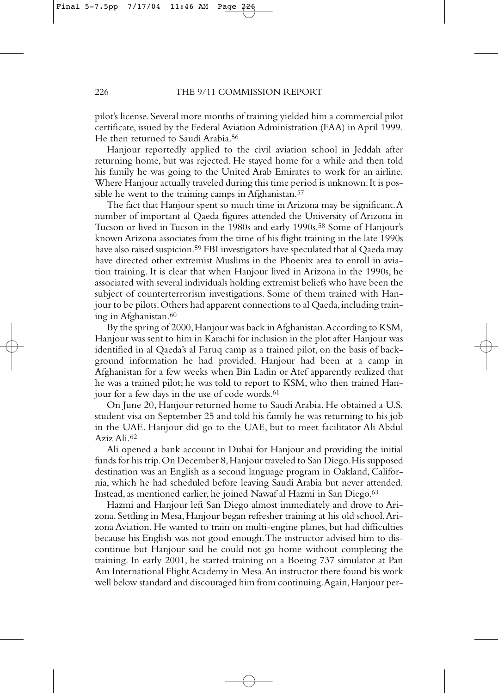pilot's license.Several more months of training yielded him a commercial pilot certificate, issued by the Federal Aviation Administration (FAA) in April 1999. He then returned to Saudi Arabia.56

Hanjour reportedly applied to the civil aviation school in Jeddah after returning home, but was rejected. He stayed home for a while and then told his family he was going to the United Arab Emirates to work for an airline. Where Hanjour actually traveled during this time period is unknown. It is possible he went to the training camps in Afghanistan.<sup>57</sup>

The fact that Hanjour spent so much time in Arizona may be significant.A number of important al Qaeda figures attended the University of Arizona in Tucson or lived in Tucson in the 1980s and early 1990s.58 Some of Hanjour's known Arizona associates from the time of his flight training in the late 1990s have also raised suspicion.59 FBI investigators have speculated that al Qaeda may have directed other extremist Muslims in the Phoenix area to enroll in aviation training. It is clear that when Hanjour lived in Arizona in the 1990s, he associated with several individuals holding extremist beliefs who have been the subject of counterterrorism investigations. Some of them trained with Hanjour to be pilots. Others had apparent connections to al Qaeda, including training in Afghanistan.<sup>60</sup>

By the spring of 2000, Hanjour was back in Afghanistan.According to KSM, Hanjour was sent to him in Karachi for inclusion in the plot after Hanjour was identified in al Qaeda's al Faruq camp as a trained pilot, on the basis of background information he had provided. Hanjour had been at a camp in Afghanistan for a few weeks when Bin Ladin or Atef apparently realized that he was a trained pilot; he was told to report to KSM, who then trained Hanjour for a few days in the use of code words.<sup>61</sup>

On June 20, Hanjour returned home to Saudi Arabia. He obtained a U.S. student visa on September 25 and told his family he was returning to his job in the UAE. Hanjour did go to the UAE, but to meet facilitator Ali Abdul Aziz Ali.62

Ali opened a bank account in Dubai for Hanjour and providing the initial funds for his trip. On December 8, Hanjour traveled to San Diego. His supposed destination was an English as a second language program in Oakland, California, which he had scheduled before leaving Saudi Arabia but never attended. Instead, as mentioned earlier, he joined Nawaf al Hazmi in San Diego.63

Hazmi and Hanjour left San Diego almost immediately and drove to Arizona. Settling in Mesa, Hanjour began refresher training at his old school,Arizona Aviation. He wanted to train on multi-engine planes, but had difficulties because his English was not good enough.The instructor advised him to discontinue but Hanjour said he could not go home without completing the training. In early 2001, he started training on a Boeing 737 simulator at Pan Am International Flight Academy in Mesa.An instructor there found his work well below standard and discouraged him from continuing. Again, Hanjour per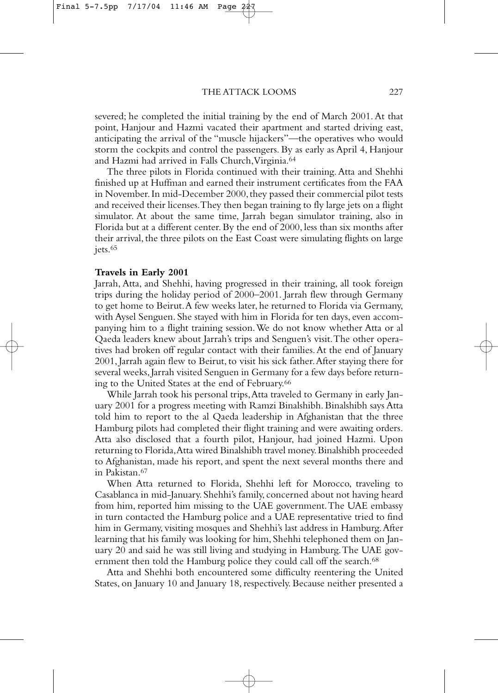severed; he completed the initial training by the end of March 2001. At that point, Hanjour and Hazmi vacated their apartment and started driving east, anticipating the arrival of the "muscle hijackers"—the operatives who would storm the cockpits and control the passengers. By as early as April 4, Hanjour and Hazmi had arrived in Falls Church,Virginia.64

The three pilots in Florida continued with their training.Atta and Shehhi finished up at Huffman and earned their instrument certificates from the FAA in November. In mid-December 2000, they passed their commercial pilot tests and received their licenses.They then began training to fly large jets on a flight simulator. At about the same time, Jarrah began simulator training, also in Florida but at a different center. By the end of 2000, less than six months after their arrival, the three pilots on the East Coast were simulating flights on large jets.<sup>65</sup>

#### **Travels in Early 2001**

Jarrah, Atta, and Shehhi, having progressed in their training, all took foreign trips during the holiday period of 2000–2001. Jarrah flew through Germany to get home to Beirut.A few weeks later, he returned to Florida via Germany, with Aysel Senguen. She stayed with him in Florida for ten days, even accompanying him to a flight training session.We do not know whether Atta or al Qaeda leaders knew about Jarrah's trips and Senguen's visit.The other operatives had broken off regular contact with their families.At the end of January 2001, Jarrah again flew to Beirut, to visit his sick father.After staying there for several weeks, Jarrah visited Senguen in Germany for a few days before returning to the United States at the end of February.66

While Jarrah took his personal trips,Atta traveled to Germany in early January 2001 for a progress meeting with Ramzi Binalshibh. Binalshibh says Atta told him to report to the al Qaeda leadership in Afghanistan that the three Hamburg pilots had completed their flight training and were awaiting orders. Atta also disclosed that a fourth pilot, Hanjour, had joined Hazmi. Upon returning to Florida,Atta wired Binalshibh travel money.Binalshibh proceeded to Afghanistan, made his report, and spent the next several months there and in Pakistan.67

When Atta returned to Florida, Shehhi left for Morocco, traveling to Casablanca in mid-January. Shehhi's family, concerned about not having heard from him, reported him missing to the UAE government.The UAE embassy in turn contacted the Hamburg police and a UAE representative tried to find him in Germany, visiting mosques and Shehhi's last address in Hamburg.After learning that his family was looking for him, Shehhi telephoned them on January 20 and said he was still living and studying in Hamburg.The UAE government then told the Hamburg police they could call off the search.<sup>68</sup>

Atta and Shehhi both encountered some difficulty reentering the United States, on January 10 and January 18, respectively. Because neither presented a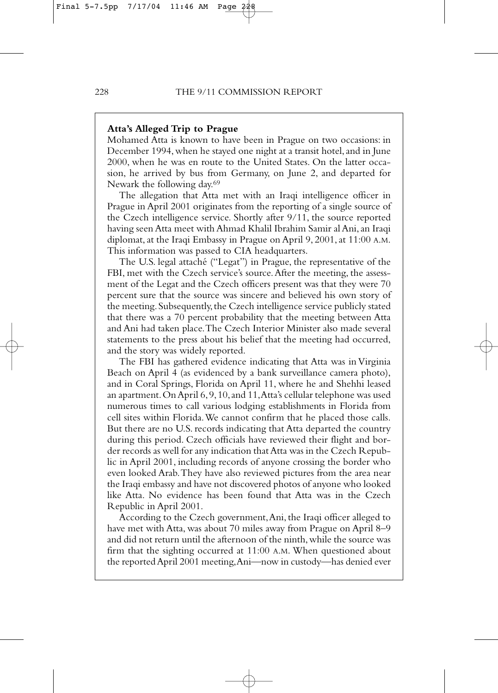## **Atta's Alleged Trip to Prague**

Mohamed Atta is known to have been in Prague on two occasions: in December 1994, when he stayed one night at a transit hotel, and in June 2000, when he was en route to the United States. On the latter occasion, he arrived by bus from Germany, on June 2, and departed for Newark the following day.69

The allegation that Atta met with an Iraqi intelligence officer in Prague in April 2001 originates from the reporting of a single source of the Czech intelligence service. Shortly after 9/11, the source reported having seen Atta meet with Ahmad Khalil Ibrahim Samir al Ani,an Iraqi diplomat, at the Iraqi Embassy in Prague on April 9, 2001, at 11:00 A.M. This information was passed to CIA headquarters.

The U.S. legal attaché ("Legat") in Prague, the representative of the FBI, met with the Czech service's source.After the meeting, the assessment of the Legat and the Czech officers present was that they were 70 percent sure that the source was sincere and believed his own story of the meeting. Subsequently, the Czech intelligence service publicly stated that there was a 70 percent probability that the meeting between Atta and Ani had taken place.The Czech Interior Minister also made several statements to the press about his belief that the meeting had occurred, and the story was widely reported.

The FBI has gathered evidence indicating that Atta was in Virginia Beach on April 4 (as evidenced by a bank surveillance camera photo), and in Coral Springs, Florida on April 11, where he and Shehhi leased an apartment.On April 6,9,10,and 11,Atta's cellular telephone was used numerous times to call various lodging establishments in Florida from cell sites within Florida.We cannot confirm that he placed those calls. But there are no U.S. records indicating that Atta departed the country during this period. Czech officials have reviewed their flight and border records as well for any indication that Atta was in the Czech Republic in April 2001, including records of anyone crossing the border who even looked Arab.They have also reviewed pictures from the area near the Iraqi embassy and have not discovered photos of anyone who looked like Atta. No evidence has been found that Atta was in the Czech Republic in April 2001.

According to the Czech government,Ani, the Iraqi officer alleged to have met with Atta, was about 70 miles away from Prague on April 8–9 and did not return until the afternoon of the ninth,while the source was firm that the sighting occurred at 11:00 A.M. When questioned about the reported April 2001 meeting,Ani—now in custody—has denied ever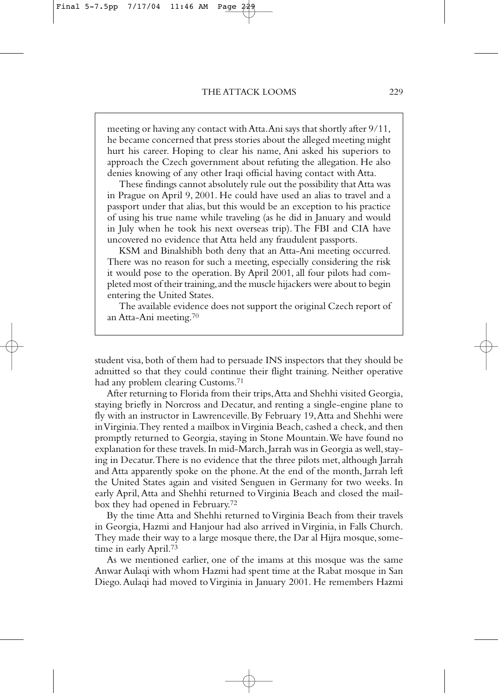meeting or having any contact with Atta.Ani says that shortly after 9/11, he became concerned that press stories about the alleged meeting might hurt his career. Hoping to clear his name, Ani asked his superiors to approach the Czech government about refuting the allegation. He also denies knowing of any other Iraqi official having contact with Atta.

These findings cannot absolutely rule out the possibility that Atta was in Prague on April 9, 2001. He could have used an alias to travel and a passport under that alias, but this would be an exception to his practice of using his true name while traveling (as he did in January and would in July when he took his next overseas trip). The FBI and CIA have uncovered no evidence that Atta held any fraudulent passports.

KSM and Binalshibh both deny that an Atta-Ani meeting occurred. There was no reason for such a meeting, especially considering the risk it would pose to the operation. By April 2001, all four pilots had completed most of their training, and the muscle hijackers were about to begin entering the United States.

The available evidence does not support the original Czech report of an Atta-Ani meeting.70

student visa, both of them had to persuade INS inspectors that they should be admitted so that they could continue their flight training. Neither operative had any problem clearing Customs.71

After returning to Florida from their trips,Atta and Shehhi visited Georgia, staying briefly in Norcross and Decatur, and renting a single-engine plane to fly with an instructor in Lawrenceville. By February 19,Atta and Shehhi were in Virginia.They rented a mailbox in Virginia Beach, cashed a check, and then promptly returned to Georgia, staying in Stone Mountain.We have found no explanation for these travels. In mid-March, Jarrah was in Georgia as well, staying in Decatur.There is no evidence that the three pilots met, although Jarrah and Atta apparently spoke on the phone.At the end of the month, Jarrah left the United States again and visited Senguen in Germany for two weeks. In early April, Atta and Shehhi returned to Virginia Beach and closed the mailbox they had opened in February.72

By the time Atta and Shehhi returned to Virginia Beach from their travels in Georgia, Hazmi and Hanjour had also arrived in Virginia, in Falls Church. They made their way to a large mosque there, the Dar al Hijra mosque, sometime in early April.73

As we mentioned earlier, one of the imams at this mosque was the same Anwar Aulaqi with whom Hazmi had spent time at the Rabat mosque in San Diego.Aulaqi had moved to Virginia in January 2001. He remembers Hazmi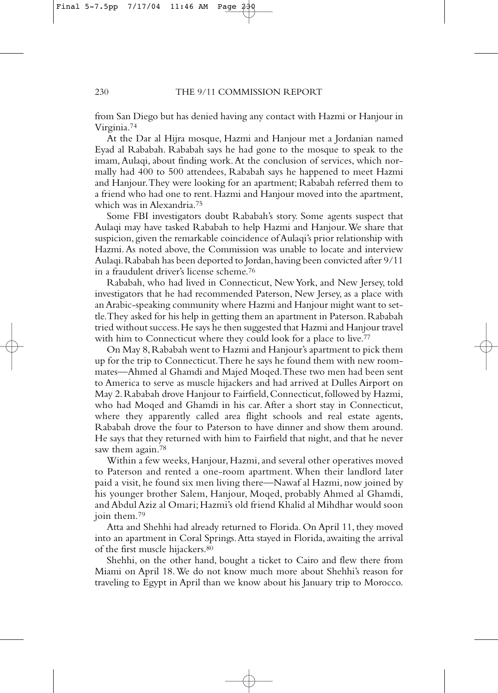from San Diego but has denied having any contact with Hazmi or Hanjour in Virginia.74

At the Dar al Hijra mosque, Hazmi and Hanjour met a Jordanian named Eyad al Rababah. Rababah says he had gone to the mosque to speak to the imam,Aulaqi, about finding work.At the conclusion of services, which normally had 400 to 500 attendees, Rababah says he happened to meet Hazmi and Hanjour.They were looking for an apartment; Rababah referred them to a friend who had one to rent. Hazmi and Hanjour moved into the apartment, which was in Alexandria.75

Some FBI investigators doubt Rababah's story. Some agents suspect that Aulaqi may have tasked Rababah to help Hazmi and Hanjour.We share that suspicion, given the remarkable coincidence of Aulaqi's prior relationship with Hazmi. As noted above, the Commission was unable to locate and interview Aulaqi.Rababah has been deported to Jordan,having been convicted after 9/11 in a fraudulent driver's license scheme.76

Rababah, who had lived in Connecticut, New York, and New Jersey, told investigators that he had recommended Paterson, New Jersey, as a place with an Arabic-speaking community where Hazmi and Hanjour might want to settle.They asked for his help in getting them an apartment in Paterson.Rababah tried without success.He says he then suggested that Hazmi and Hanjour travel with him to Connecticut where they could look for a place to live.<sup>77</sup>

On May 8,Rababah went to Hazmi and Hanjour's apartment to pick them up for the trip to Connecticut.There he says he found them with new roommates—Ahmed al Ghamdi and Majed Moqed.These two men had been sent to America to serve as muscle hijackers and had arrived at Dulles Airport on May 2. Rababah drove Hanjour to Fairfield, Connecticut, followed by Hazmi, who had Moqed and Ghamdi in his car. After a short stay in Connecticut, where they apparently called area flight schools and real estate agents, Rababah drove the four to Paterson to have dinner and show them around. He says that they returned with him to Fairfield that night, and that he never saw them again.<sup>78</sup>

Within a few weeks, Hanjour, Hazmi, and several other operatives moved to Paterson and rented a one-room apartment. When their landlord later paid a visit, he found six men living there—Nawaf al Hazmi, now joined by his younger brother Salem, Hanjour, Moqed, probably Ahmed al Ghamdi, and Abdul Aziz al Omari; Hazmi's old friend Khalid al Mihdhar would soon join them.79

Atta and Shehhi had already returned to Florida. On April 11, they moved into an apartment in Coral Springs.Atta stayed in Florida, awaiting the arrival of the first muscle hijackers.80

Shehhi, on the other hand, bought a ticket to Cairo and flew there from Miami on April 18.We do not know much more about Shehhi's reason for traveling to Egypt in April than we know about his January trip to Morocco.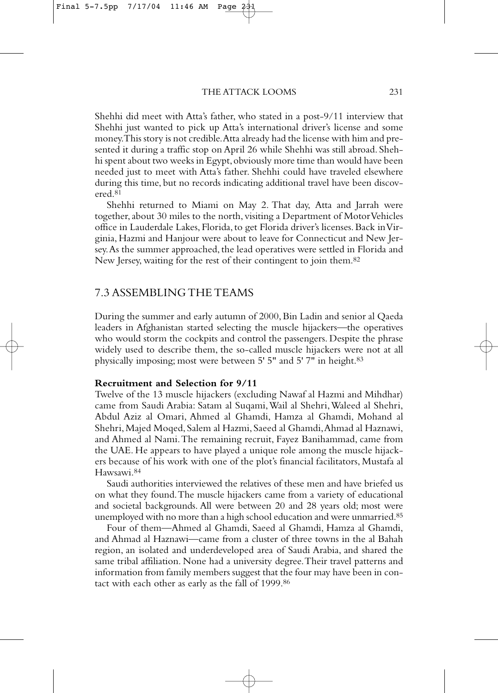Shehhi did meet with Atta's father, who stated in a post-9/11 interview that Shehhi just wanted to pick up Atta's international driver's license and some money.This story is not credible.Atta already had the license with him and presented it during a traffic stop on April 26 while Shehhi was still abroad. Shehhi spent about two weeks in Egypt, obviously more time than would have been needed just to meet with Atta's father. Shehhi could have traveled elsewhere during this time, but no records indicating additional travel have been discovered.81

Shehhi returned to Miami on May 2. That day, Atta and Jarrah were together, about 30 miles to the north, visiting a Department of Motor Vehicles office in Lauderdale Lakes, Florida, to get Florida driver's licenses. Back in Virginia, Hazmi and Hanjour were about to leave for Connecticut and New Jersey.As the summer approached, the lead operatives were settled in Florida and New Jersey, waiting for the rest of their contingent to join them.82

## 7.3 ASSEMBLING THE TEAMS

During the summer and early autumn of 2000, Bin Ladin and senior al Qaeda leaders in Afghanistan started selecting the muscle hijackers—the operatives who would storm the cockpits and control the passengers. Despite the phrase widely used to describe them, the so-called muscle hijackers were not at all physically imposing; most were between 5' 5" and 5' 7" in height.83

## **Recruitment and Selection for 9/11**

Twelve of the 13 muscle hijackers (excluding Nawaf al Hazmi and Mihdhar) came from Saudi Arabia: Satam al Suqami,Wail al Shehri,Waleed al Shehri, Abdul Aziz al Omari, Ahmed al Ghamdi, Hamza al Ghamdi, Mohand al Shehri, Majed Moqed, Salem al Hazmi, Saeed al Ghamdi,Ahmad al Haznawi, and Ahmed al Nami.The remaining recruit, Fayez Banihammad, came from the UAE. He appears to have played a unique role among the muscle hijackers because of his work with one of the plot's financial facilitators, Mustafa al Hawsawi.84

Saudi authorities interviewed the relatives of these men and have briefed us on what they found.The muscle hijackers came from a variety of educational and societal backgrounds. All were between 20 and 28 years old; most were unemployed with no more than a high school education and were unmarried.85

Four of them—Ahmed al Ghamdi, Saeed al Ghamdi, Hamza al Ghamdi, and Ahmad al Haznawi—came from a cluster of three towns in the al Bahah region, an isolated and underdeveloped area of Saudi Arabia, and shared the same tribal affiliation. None had a university degree.Their travel patterns and information from family members suggest that the four may have been in contact with each other as early as the fall of 1999.86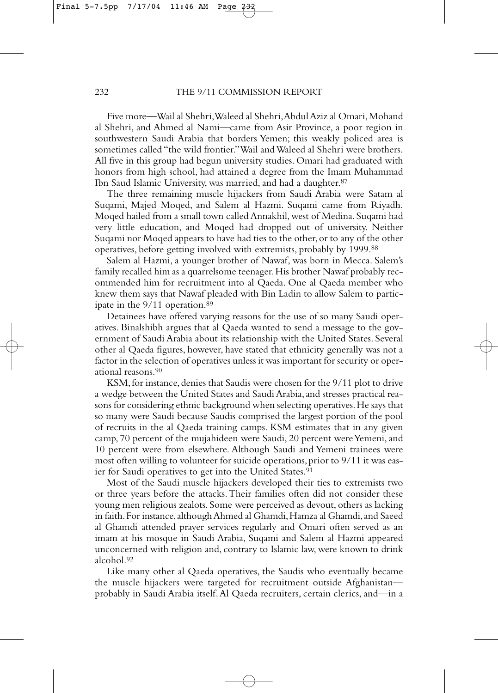Five more—Wail al Shehri, Waleed al Shehri, Abdul Aziz al Omari, Mohand al Shehri, and Ahmed al Nami—came from Asir Province, a poor region in southwestern Saudi Arabia that borders Yemen; this weakly policed area is sometimes called "the wild frontier."Wail and Waleed al Shehri were brothers. All five in this group had begun university studies. Omari had graduated with honors from high school, had attained a degree from the Imam Muhammad Ibn Saud Islamic University, was married, and had a daughter.87

The three remaining muscle hijackers from Saudi Arabia were Satam al Suqami, Majed Moqed, and Salem al Hazmi. Suqami came from Riyadh. Moqed hailed from a small town called Annakhil, west of Medina. Suqami had very little education, and Moqed had dropped out of university. Neither Suqami nor Moqed appears to have had ties to the other, or to any of the other operatives, before getting involved with extremists, probably by 1999.88

Salem al Hazmi, a younger brother of Nawaf, was born in Mecca. Salem's family recalled him as a quarrelsome teenager. His brother Nawaf probably recommended him for recruitment into al Qaeda. One al Qaeda member who knew them says that Nawaf pleaded with Bin Ladin to allow Salem to participate in the 9/11 operation.89

Detainees have offered varying reasons for the use of so many Saudi operatives. Binalshibh argues that al Qaeda wanted to send a message to the government of Saudi Arabia about its relationship with the United States. Several other al Qaeda figures, however, have stated that ethnicity generally was not a factor in the selection of operatives unless it was important for security or operational reasons.90

KSM, for instance, denies that Saudis were chosen for the 9/11 plot to drive a wedge between the United States and Saudi Arabia, and stresses practical reasons for considering ethnic background when selecting operatives.He says that so many were Saudi because Saudis comprised the largest portion of the pool of recruits in the al Qaeda training camps. KSM estimates that in any given camp, 70 percent of the mujahideen were Saudi, 20 percent were Yemeni, and 10 percent were from elsewhere. Although Saudi and Yemeni trainees were most often willing to volunteer for suicide operations, prior to 9/11 it was easier for Saudi operatives to get into the United States.<sup>91</sup>

Most of the Saudi muscle hijackers developed their ties to extremists two or three years before the attacks.Their families often did not consider these young men religious zealots. Some were perceived as devout, others as lacking in faith. For instance, although Ahmed al Ghamdi, Hamza al Ghamdi, and Saeed al Ghamdi attended prayer services regularly and Omari often served as an imam at his mosque in Saudi Arabia, Suqami and Salem al Hazmi appeared unconcerned with religion and, contrary to Islamic law, were known to drink alcohol.92

Like many other al Qaeda operatives, the Saudis who eventually became the muscle hijackers were targeted for recruitment outside Afghanistan probably in Saudi Arabia itself.Al Qaeda recruiters, certain clerics, and—in a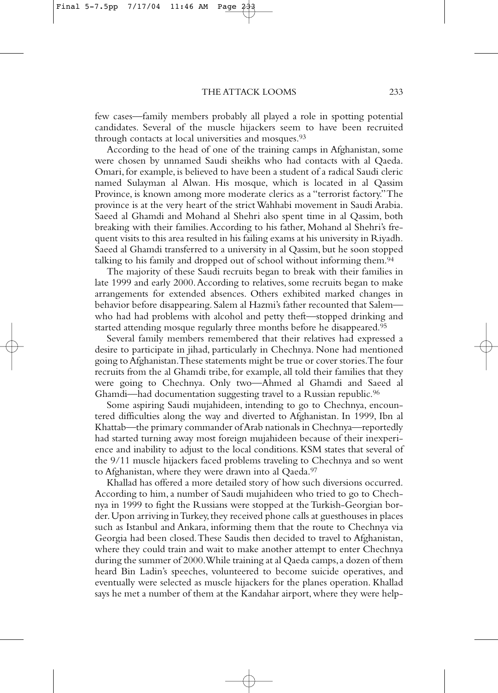few cases—family members probably all played a role in spotting potential candidates. Several of the muscle hijackers seem to have been recruited through contacts at local universities and mosques.93

According to the head of one of the training camps in Afghanistan, some were chosen by unnamed Saudi sheikhs who had contacts with al Qaeda. Omari, for example, is believed to have been a student of a radical Saudi cleric named Sulayman al Alwan. His mosque, which is located in al Qassim Province, is known among more moderate clerics as a "terrorist factory."The province is at the very heart of the strict Wahhabi movement in Saudi Arabia. Saeed al Ghamdi and Mohand al Shehri also spent time in al Qassim, both breaking with their families.According to his father, Mohand al Shehri's frequent visits to this area resulted in his failing exams at his university in Riyadh. Saeed al Ghamdi transferred to a university in al Qassim, but he soon stopped talking to his family and dropped out of school without informing them.<sup>94</sup>

The majority of these Saudi recruits began to break with their families in late 1999 and early 2000.According to relatives, some recruits began to make arrangements for extended absences. Others exhibited marked changes in behavior before disappearing. Salem al Hazmi's father recounted that Salem who had had problems with alcohol and petty theft—stopped drinking and started attending mosque regularly three months before he disappeared.<sup>95</sup>

Several family members remembered that their relatives had expressed a desire to participate in jihad, particularly in Chechnya. None had mentioned going to Afghanistan.These statements might be true or cover stories.The four recruits from the al Ghamdi tribe, for example, all told their families that they were going to Chechnya. Only two—Ahmed al Ghamdi and Saeed al Ghamdi—had documentation suggesting travel to a Russian republic.96

Some aspiring Saudi mujahideen, intending to go to Chechnya, encountered difficulties along the way and diverted to Afghanistan. In 1999, Ibn al Khattab—the primary commander of Arab nationals in Chechnya—reportedly had started turning away most foreign mujahideen because of their inexperience and inability to adjust to the local conditions. KSM states that several of the 9/11 muscle hijackers faced problems traveling to Chechnya and so went to Afghanistan, where they were drawn into al Qaeda.97

Khallad has offered a more detailed story of how such diversions occurred. According to him, a number of Saudi mujahideen who tried to go to Chechnya in 1999 to fight the Russians were stopped at the Turkish-Georgian border. Upon arriving in Turkey, they received phone calls at guesthouses in places such as Istanbul and Ankara, informing them that the route to Chechnya via Georgia had been closed.These Saudis then decided to travel to Afghanistan, where they could train and wait to make another attempt to enter Chechnya during the summer of 2000. While training at al Qaeda camps, a dozen of them heard Bin Ladin's speeches, volunteered to become suicide operatives, and eventually were selected as muscle hijackers for the planes operation. Khallad says he met a number of them at the Kandahar airport, where they were help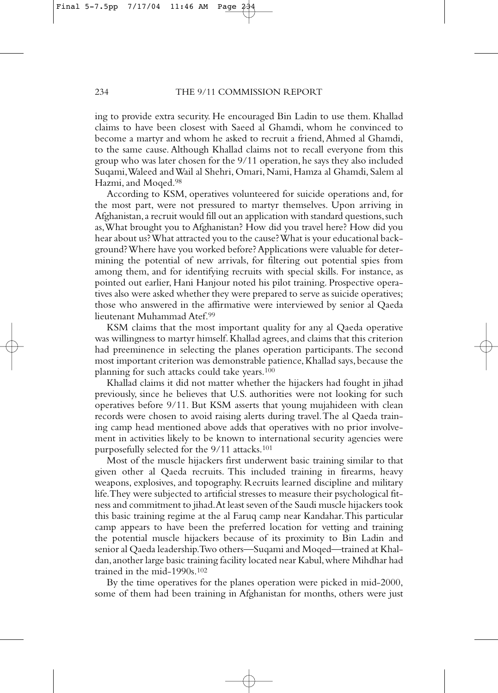ing to provide extra security. He encouraged Bin Ladin to use them. Khallad claims to have been closest with Saeed al Ghamdi, whom he convinced to become a martyr and whom he asked to recruit a friend,Ahmed al Ghamdi, to the same cause. Although Khallad claims not to recall everyone from this group who was later chosen for the 9/11 operation, he says they also included Suqami,Waleed and Wail al Shehri, Omari, Nami, Hamza al Ghamdi, Salem al Hazmi, and Moqed.98

According to KSM, operatives volunteered for suicide operations and, for the most part, were not pressured to martyr themselves. Upon arriving in Afghanistan, a recruit would fill out an application with standard questions, such as,What brought you to Afghanistan? How did you travel here? How did you hear about us? What attracted you to the cause? What is your educational background? Where have you worked before? Applications were valuable for determining the potential of new arrivals, for filtering out potential spies from among them, and for identifying recruits with special skills. For instance, as pointed out earlier, Hani Hanjour noted his pilot training. Prospective operatives also were asked whether they were prepared to serve as suicide operatives; those who answered in the affirmative were interviewed by senior al Qaeda lieutenant Muhammad Atef.99

KSM claims that the most important quality for any al Qaeda operative was willingness to martyr himself. Khallad agrees, and claims that this criterion had preeminence in selecting the planes operation participants. The second most important criterion was demonstrable patience, Khallad says, because the planning for such attacks could take years.<sup>100</sup>

Khallad claims it did not matter whether the hijackers had fought in jihad previously, since he believes that U.S. authorities were not looking for such operatives before 9/11. But KSM asserts that young mujahideen with clean records were chosen to avoid raising alerts during travel.The al Qaeda training camp head mentioned above adds that operatives with no prior involvement in activities likely to be known to international security agencies were purposefully selected for the 9/11 attacks.101

Most of the muscle hijackers first underwent basic training similar to that given other al Qaeda recruits. This included training in firearms, heavy weapons, explosives, and topography. Recruits learned discipline and military life.They were subjected to artificial stresses to measure their psychological fitness and commitment to jihad.At least seven of the Saudi muscle hijackers took this basic training regime at the al Faruq camp near Kandahar.This particular camp appears to have been the preferred location for vetting and training the potential muscle hijackers because of its proximity to Bin Ladin and senior al Qaeda leadership.Two others—Suqami and Moqed—trained at Khaldan, another large basic training facility located near Kabul, where Mihdhar had trained in the mid-1990s.102

By the time operatives for the planes operation were picked in mid-2000, some of them had been training in Afghanistan for months, others were just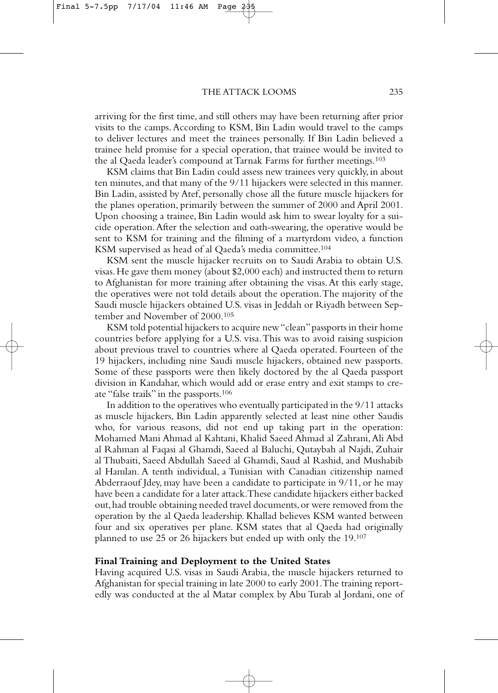arriving for the first time, and still others may have been returning after prior visits to the camps.According to KSM, Bin Ladin would travel to the camps to deliver lectures and meet the trainees personally. If Bin Ladin believed a trainee held promise for a special operation, that trainee would be invited to the al Qaeda leader's compound at Tarnak Farms for further meetings.103

KSM claims that Bin Ladin could assess new trainees very quickly, in about ten minutes, and that many of the 9/11 hijackers were selected in this manner. Bin Ladin, assisted by Atef, personally chose all the future muscle hijackers for the planes operation, primarily between the summer of 2000 and April 2001. Upon choosing a trainee, Bin Ladin would ask him to swear loyalty for a suicide operation.After the selection and oath-swearing, the operative would be sent to KSM for training and the filming of a martyrdom video, a function KSM supervised as head of al Qaeda's media committee.104

KSM sent the muscle hijacker recruits on to Saudi Arabia to obtain U.S. visas.He gave them money (about \$2,000 each) and instructed them to return to Afghanistan for more training after obtaining the visas.At this early stage, the operatives were not told details about the operation.The majority of the Saudi muscle hijackers obtained U.S. visas in Jeddah or Riyadh between September and November of 2000.105

KSM told potential hijackers to acquire new "clean"passports in their home countries before applying for a U.S. visa.This was to avoid raising suspicion about previous travel to countries where al Qaeda operated. Fourteen of the 19 hijackers, including nine Saudi muscle hijackers, obtained new passports. Some of these passports were then likely doctored by the al Qaeda passport division in Kandahar, which would add or erase entry and exit stamps to create "false trails" in the passports.106

In addition to the operatives who eventually participated in the 9/11 attacks as muscle hijackers, Bin Ladin apparently selected at least nine other Saudis who, for various reasons, did not end up taking part in the operation: Mohamed Mani Ahmad al Kahtani, Khalid Saeed Ahmad al Zahrani,Ali Abd al Rahman al Faqasi al Ghamdi, Saeed al Baluchi, Qutaybah al Najdi, Zuhair al Thubaiti, Saeed Abdullah Saeed al Ghamdi, Saud al Rashid, and Mushabib al Hamlan. A tenth individual, a Tunisian with Canadian citizenship named Abderraouf Jdey, may have been a candidate to participate in 9/11, or he may have been a candidate for a later attack.These candidate hijackers either backed out,had trouble obtaining needed travel documents,or were removed from the operation by the al Qaeda leadership. Khallad believes KSM wanted between four and six operatives per plane. KSM states that al Qaeda had originally planned to use 25 or 26 hijackers but ended up with only the 19.107

#### **Final Training and Deployment to the United States**

Having acquired U.S. visas in Saudi Arabia, the muscle hijackers returned to Afghanistan for special training in late 2000 to early 2001.The training reportedly was conducted at the al Matar complex by Abu Turab al Jordani, one of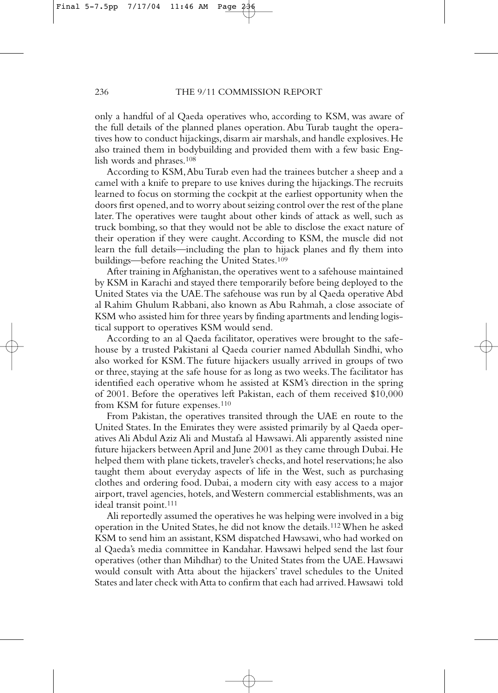only a handful of al Qaeda operatives who, according to KSM, was aware of the full details of the planned planes operation. Abu Turab taught the operatives how to conduct hijackings, disarm air marshals, and handle explosives. He also trained them in bodybuilding and provided them with a few basic English words and phrases.108

According to KSM,Abu Turab even had the trainees butcher a sheep and a camel with a knife to prepare to use knives during the hijackings.The recruits learned to focus on storming the cockpit at the earliest opportunity when the doors first opened,and to worry about seizing control over the rest of the plane later.The operatives were taught about other kinds of attack as well, such as truck bombing, so that they would not be able to disclose the exact nature of their operation if they were caught. According to KSM, the muscle did not learn the full details—including the plan to hijack planes and fly them into buildings—before reaching the United States.109

After training in Afghanistan, the operatives went to a safehouse maintained by KSM in Karachi and stayed there temporarily before being deployed to the United States via the UAE.The safehouse was run by al Qaeda operative Abd al Rahim Ghulum Rabbani, also known as Abu Rahmah, a close associate of KSM who assisted him for three years by finding apartments and lending logistical support to operatives KSM would send.

According to an al Qaeda facilitator, operatives were brought to the safehouse by a trusted Pakistani al Qaeda courier named Abdullah Sindhi, who also worked for KSM.The future hijackers usually arrived in groups of two or three, staying at the safe house for as long as two weeks.The facilitator has identified each operative whom he assisted at KSM's direction in the spring of 2001. Before the operatives left Pakistan, each of them received \$10,000 from KSM for future expenses.<sup>110</sup>

From Pakistan, the operatives transited through the UAE en route to the United States. In the Emirates they were assisted primarily by al Qaeda operatives Ali Abdul Aziz Ali and Mustafa al Hawsawi.Ali apparently assisted nine future hijackers between April and June 2001 as they came through Dubai.He helped them with plane tickets, traveler's checks, and hotel reservations; he also taught them about everyday aspects of life in the West, such as purchasing clothes and ordering food. Dubai, a modern city with easy access to a major airport, travel agencies, hotels, and Western commercial establishments, was an ideal transit point.111

Ali reportedly assumed the operatives he was helping were involved in a big operation in the United States, he did not know the details.112When he asked KSM to send him an assistant, KSM dispatched Hawsawi, who had worked on al Qaeda's media committee in Kandahar. Hawsawi helped send the last four operatives (other than Mihdhar) to the United States from the UAE. Hawsawi would consult with Atta about the hijackers' travel schedules to the United States and later check with Atta to confirm that each had arrived.Hawsawi told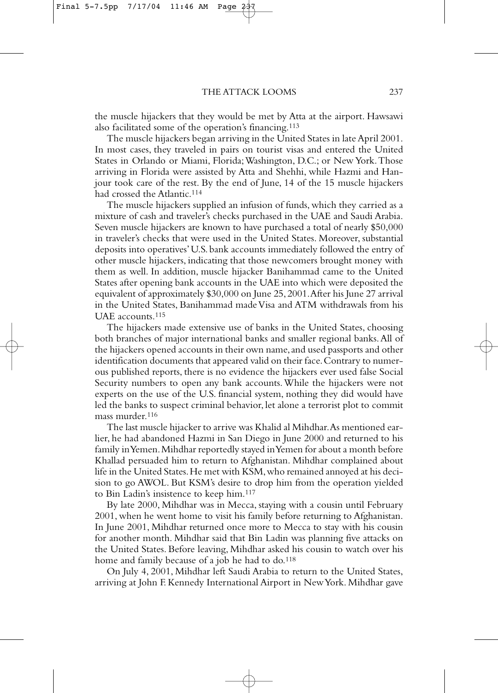the muscle hijackers that they would be met by Atta at the airport. Hawsawi also facilitated some of the operation's financing.113

The muscle hijackers began arriving in the United States in late April 2001. In most cases, they traveled in pairs on tourist visas and entered the United States in Orlando or Miami, Florida;Washington, D.C.; or New York.Those arriving in Florida were assisted by Atta and Shehhi, while Hazmi and Hanjour took care of the rest. By the end of June, 14 of the 15 muscle hijackers had crossed the Atlantic.<sup>114</sup>

The muscle hijackers supplied an infusion of funds, which they carried as a mixture of cash and traveler's checks purchased in the UAE and Saudi Arabia. Seven muscle hijackers are known to have purchased a total of nearly \$50,000 in traveler's checks that were used in the United States. Moreover, substantial deposits into operatives'U.S.bank accounts immediately followed the entry of other muscle hijackers, indicating that those newcomers brought money with them as well. In addition, muscle hijacker Banihammad came to the United States after opening bank accounts in the UAE into which were deposited the equivalent of approximately \$30,000 on June 25,2001.After his June 27 arrival in the United States, Banihammad made Visa and ATM withdrawals from his UAE accounts.115

The hijackers made extensive use of banks in the United States, choosing both branches of major international banks and smaller regional banks.All of the hijackers opened accounts in their own name, and used passports and other identification documents that appeared valid on their face. Contrary to numerous published reports, there is no evidence the hijackers ever used false Social Security numbers to open any bank accounts.While the hijackers were not experts on the use of the U.S. financial system, nothing they did would have led the banks to suspect criminal behavior, let alone a terrorist plot to commit mass murder.116

The last muscle hijacker to arrive was Khalid al Mihdhar.As mentioned earlier, he had abandoned Hazmi in San Diego in June 2000 and returned to his family in Yemen.Mihdhar reportedly stayed in Yemen for about a month before Khallad persuaded him to return to Afghanistan. Mihdhar complained about life in the United States. He met with KSM, who remained annoyed at his decision to go AWOL. But KSM's desire to drop him from the operation yielded to Bin Ladin's insistence to keep him.117

By late 2000, Mihdhar was in Mecca, staying with a cousin until February 2001, when he went home to visit his family before returning to Afghanistan. In June 2001, Mihdhar returned once more to Mecca to stay with his cousin for another month. Mihdhar said that Bin Ladin was planning five attacks on the United States. Before leaving, Mihdhar asked his cousin to watch over his home and family because of a job he had to do.<sup>118</sup>

On July 4, 2001, Mihdhar left Saudi Arabia to return to the United States, arriving at John F. Kennedy International Airport in New York. Mihdhar gave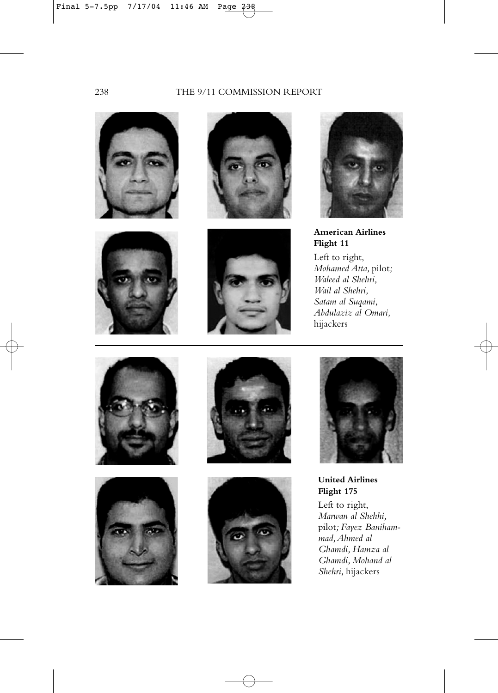## 238 THE 9/11 COMMISSION REPORT















**American Airlines Flight 11**

Left to right, *Mohamed Atta,* pilot*; Waleed al Shehri, Wail al Shehri, Satam al Suqami, Abdulaziz al Omari,* hijackers







**United Airlines Flight 175** Left to right, *Marwan al Shehhi,* pilot*; Fayez Banihammad,Ahmed al Ghamdi, Hamza al Ghamdi, Mohand al Shehri,* hijackers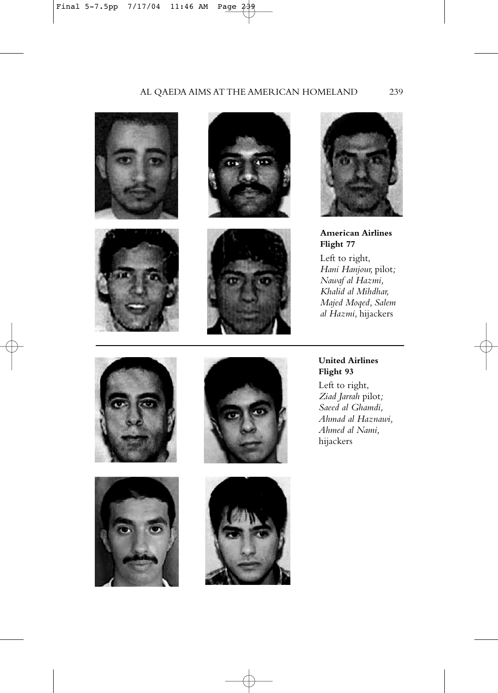

















# **American Airlines Flight 77**

Left to right, *Hani Hanjour,* pilot*; Nawaf al Hazmi, Khalid al Mihdhar, Majed Moqed, Salem al Hazmi,* hijackers

# **United Airlines Flight 93**

Left to right, *Ziad Jarrah* pilot*; Saeed al Ghamdi, Ahmad al Haznawi, Ahmed al Nami,* hijackers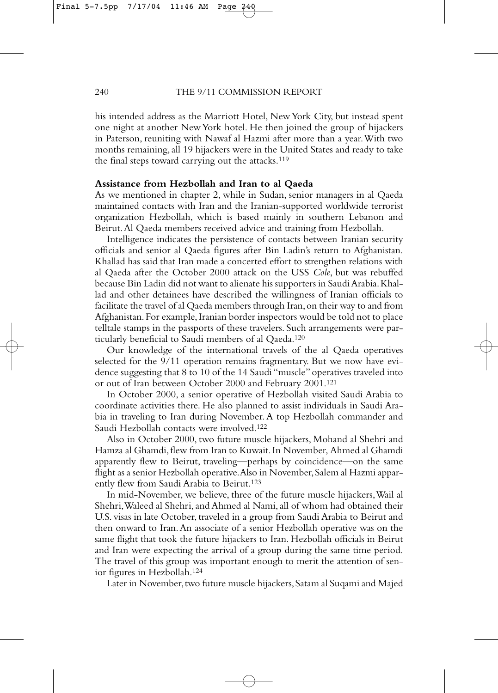his intended address as the Marriott Hotel, New York City, but instead spent one night at another New York hotel. He then joined the group of hijackers in Paterson, reuniting with Nawaf al Hazmi after more than a year.With two months remaining, all 19 hijackers were in the United States and ready to take the final steps toward carrying out the attacks.<sup>119</sup>

## **Assistance from Hezbollah and Iran to al Qaeda**

As we mentioned in chapter 2, while in Sudan, senior managers in al Qaeda maintained contacts with Iran and the Iranian-supported worldwide terrorist organization Hezbollah, which is based mainly in southern Lebanon and Beirut.Al Qaeda members received advice and training from Hezbollah.

Intelligence indicates the persistence of contacts between Iranian security officials and senior al Qaeda figures after Bin Ladin's return to Afghanistan. Khallad has said that Iran made a concerted effort to strengthen relations with al Qaeda after the October 2000 attack on the USS *Cole*, but was rebuffed because Bin Ladin did not want to alienate his supporters in Saudi Arabia.Khallad and other detainees have described the willingness of Iranian officials to facilitate the travel of al Qaeda members through Iran, on their way to and from Afghanistan. For example, Iranian border inspectors would be told not to place telltale stamps in the passports of these travelers. Such arrangements were particularly beneficial to Saudi members of al Qaeda.120

Our knowledge of the international travels of the al Qaeda operatives selected for the  $9/11$  operation remains fragmentary. But we now have evidence suggesting that 8 to 10 of the 14 Saudi "muscle"operatives traveled into or out of Iran between October 2000 and February 2001.121

In October 2000, a senior operative of Hezbollah visited Saudi Arabia to coordinate activities there. He also planned to assist individuals in Saudi Arabia in traveling to Iran during November. A top Hezbollah commander and Saudi Hezbollah contacts were involved.122

Also in October 2000, two future muscle hijackers, Mohand al Shehri and Hamza al Ghamdi, flew from Iran to Kuwait. In November, Ahmed al Ghamdi apparently flew to Beirut, traveling—perhaps by coincidence—on the same flight as a senior Hezbollah operative.Also in November,Salem al Hazmi apparently flew from Saudi Arabia to Beirut.123

In mid-November, we believe, three of the future muscle hijackers,Wail al Shehri,Waleed al Shehri, and Ahmed al Nami, all of whom had obtained their U.S. visas in late October, traveled in a group from Saudi Arabia to Beirut and then onward to Iran.An associate of a senior Hezbollah operative was on the same flight that took the future hijackers to Iran. Hezbollah officials in Beirut and Iran were expecting the arrival of a group during the same time period. The travel of this group was important enough to merit the attention of senior figures in Hezbollah.124

Later in November, two future muscle hijackers, Satam al Suqami and Majed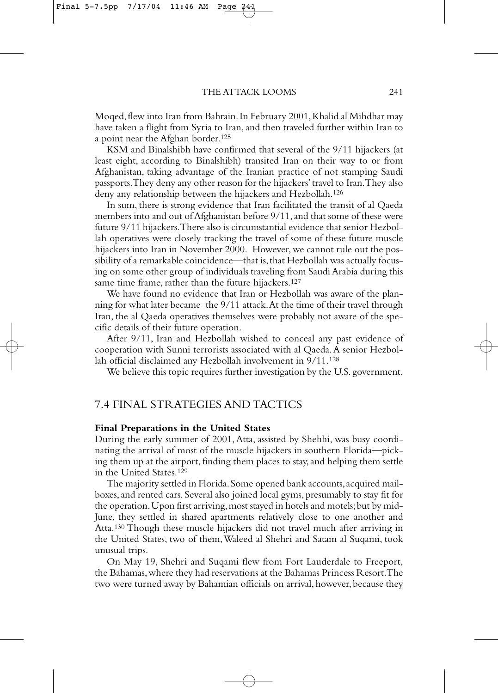Moqed, flew into Iran from Bahrain. In February 2001, Khalid al Mihdhar may have taken a flight from Syria to Iran, and then traveled further within Iran to a point near the Afghan border.125

KSM and Binalshibh have confirmed that several of the 9/11 hijackers (at least eight, according to Binalshibh) transited Iran on their way to or from Afghanistan, taking advantage of the Iranian practice of not stamping Saudi passports.They deny any other reason for the hijackers'travel to Iran.They also deny any relationship between the hijackers and Hezbollah.126

In sum, there is strong evidence that Iran facilitated the transit of al Qaeda members into and out of Afghanistan before 9/11, and that some of these were future 9/11 hijackers.There also is circumstantial evidence that senior Hezbollah operatives were closely tracking the travel of some of these future muscle hijackers into Iran in November 2000. However, we cannot rule out the possibility of a remarkable coincidence—that is, that Hezbollah was actually focusing on some other group of individuals traveling from Saudi Arabia during this same time frame, rather than the future hijackers.<sup>127</sup>

We have found no evidence that Iran or Hezbollah was aware of the planning for what later became the 9/11 attack.At the time of their travel through Iran, the al Qaeda operatives themselves were probably not aware of the specific details of their future operation.

After 9/11, Iran and Hezbollah wished to conceal any past evidence of cooperation with Sunni terrorists associated with al Qaeda.A senior Hezbollah official disclaimed any Hezbollah involvement in 9/11.128

We believe this topic requires further investigation by the U.S. government.

# 7.4 FINAL STRATEGIES AND TACTICS

#### **Final Preparations in the United States**

During the early summer of 2001,Atta, assisted by Shehhi, was busy coordinating the arrival of most of the muscle hijackers in southern Florida—picking them up at the airport, finding them places to stay, and helping them settle in the United States.129

The majority settled in Florida. Some opened bank accounts, acquired mailboxes, and rented cars. Several also joined local gyms, presumably to stay fit for the operation. Upon first arriving, most stayed in hotels and motels; but by mid-June, they settled in shared apartments relatively close to one another and Atta.130 Though these muscle hijackers did not travel much after arriving in the United States, two of them,Waleed al Shehri and Satam al Suqami, took unusual trips.

On May 19, Shehri and Suqami flew from Fort Lauderdale to Freeport, the Bahamas,where they had reservations at the Bahamas Princess Resort.The two were turned away by Bahamian officials on arrival, however, because they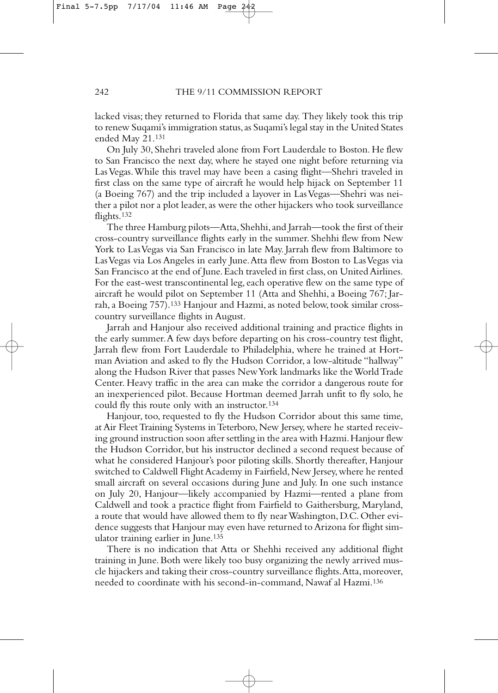lacked visas; they returned to Florida that same day. They likely took this trip to renew Suqami's immigration status, as Suqami's legal stay in the United States ended May 21.131

On July 30, Shehri traveled alone from Fort Lauderdale to Boston. He flew to San Francisco the next day, where he stayed one night before returning via Las Vegas.While this travel may have been a casing flight—Shehri traveled in first class on the same type of aircraft he would help hijack on September 11 (a Boeing 767) and the trip included a layover in Las Vegas—Shehri was neither a pilot nor a plot leader, as were the other hijackers who took surveillance flights.132

The three Hamburg pilots—Atta,Shehhi,and Jarrah—took the first of their cross-country surveillance flights early in the summer. Shehhi flew from New York to Las Vegas via San Francisco in late May. Jarrah flew from Baltimore to Las Vegas via Los Angeles in early June.Atta flew from Boston to Las Vegas via San Francisco at the end of June. Each traveled in first class, on United Airlines. For the east-west transcontinental leg, each operative flew on the same type of aircraft he would pilot on September 11 (Atta and Shehhi, a Boeing 767; Jarrah, a Boeing 757).133 Hanjour and Hazmi, as noted below, took similar crosscountry surveillance flights in August.

Jarrah and Hanjour also received additional training and practice flights in the early summer.A few days before departing on his cross-country test flight, Jarrah flew from Fort Lauderdale to Philadelphia, where he trained at Hortman Aviation and asked to fly the Hudson Corridor, a low-altitude "hallway" along the Hudson River that passes New York landmarks like the World Trade Center. Heavy traffic in the area can make the corridor a dangerous route for an inexperienced pilot. Because Hortman deemed Jarrah unfit to fly solo, he could fly this route only with an instructor.134

Hanjour, too, requested to fly the Hudson Corridor about this same time, at Air Fleet Training Systems in Teterboro, New Jersey, where he started receiving ground instruction soon after settling in the area with Hazmi. Hanjour flew the Hudson Corridor, but his instructor declined a second request because of what he considered Hanjour's poor piloting skills. Shortly thereafter, Hanjour switched to Caldwell Flight Academy in Fairfield,New Jersey,where he rented small aircraft on several occasions during June and July. In one such instance on July 20, Hanjour—likely accompanied by Hazmi—rented a plane from Caldwell and took a practice flight from Fairfield to Gaithersburg, Maryland, a route that would have allowed them to fly near Washington, D.C. Other evidence suggests that Hanjour may even have returned to Arizona for flight simulator training earlier in June.135

There is no indication that Atta or Shehhi received any additional flight training in June. Both were likely too busy organizing the newly arrived muscle hijackers and taking their cross-country surveillance flights. Atta, moreover, needed to coordinate with his second-in-command, Nawaf al Hazmi.136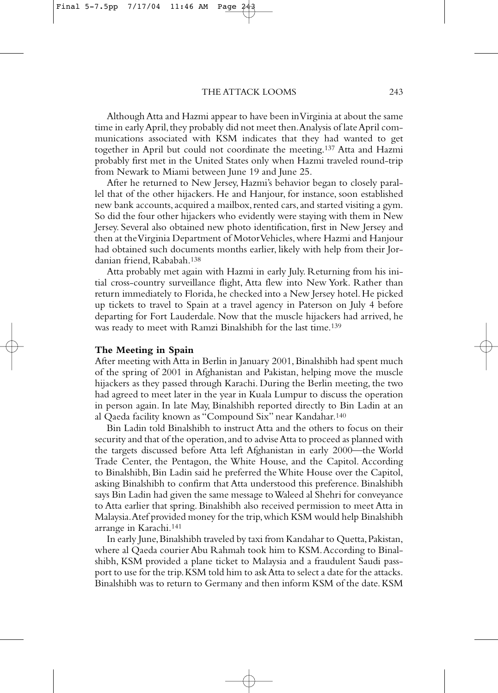Although Atta and Hazmi appear to have been in Virginia at about the same time in early April, they probably did not meet then. Analysis of late April communications associated with KSM indicates that they had wanted to get together in April but could not coordinate the meeting.137 Atta and Hazmi probably first met in the United States only when Hazmi traveled round-trip from Newark to Miami between June 19 and June 25.

After he returned to New Jersey, Hazmi's behavior began to closely parallel that of the other hijackers. He and Hanjour, for instance, soon established new bank accounts, acquired a mailbox, rented cars, and started visiting a gym. So did the four other hijackers who evidently were staying with them in New Jersey. Several also obtained new photo identification, first in New Jersey and then at the Virginia Department of Motor Vehicles, where Hazmi and Hanjour had obtained such documents months earlier, likely with help from their Jordanian friend, Rababah.138

Atta probably met again with Hazmi in early July. Returning from his initial cross-country surveillance flight, Atta flew into New York. Rather than return immediately to Florida, he checked into a New Jersey hotel. He picked up tickets to travel to Spain at a travel agency in Paterson on July 4 before departing for Fort Lauderdale. Now that the muscle hijackers had arrived, he was ready to meet with Ramzi Binalshibh for the last time.139

#### **The Meeting in Spain**

After meeting with Atta in Berlin in January 2001, Binalshibh had spent much of the spring of 2001 in Afghanistan and Pakistan, helping move the muscle hijackers as they passed through Karachi. During the Berlin meeting, the two had agreed to meet later in the year in Kuala Lumpur to discuss the operation in person again. In late May, Binalshibh reported directly to Bin Ladin at an al Qaeda facility known as "Compound Six" near Kandahar.140

Bin Ladin told Binalshibh to instruct Atta and the others to focus on their security and that of the operation, and to advise Atta to proceed as planned with the targets discussed before Atta left Afghanistan in early 2000—the World Trade Center, the Pentagon, the White House, and the Capitol. According to Binalshibh, Bin Ladin said he preferred the White House over the Capitol, asking Binalshibh to confirm that Atta understood this preference. Binalshibh says Bin Ladin had given the same message to Waleed al Shehri for conveyance to Atta earlier that spring. Binalshibh also received permission to meet Atta in Malaysia.Atef provided money for the trip,which KSM would help Binalshibh arrange in Karachi.141

In early June,Binalshibh traveled by taxi from Kandahar to Quetta,Pakistan, where al Qaeda courier Abu Rahmah took him to KSM.According to Binalshibh, KSM provided a plane ticket to Malaysia and a fraudulent Saudi passport to use for the trip.KSM told him to ask Atta to select a date for the attacks. Binalshibh was to return to Germany and then inform KSM of the date. KSM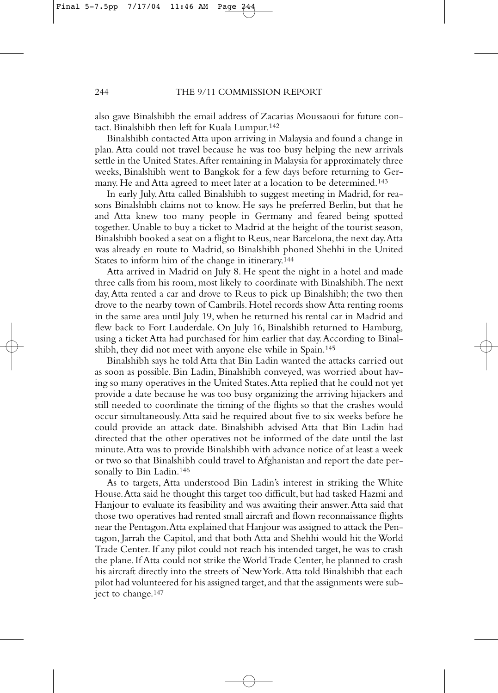also gave Binalshibh the email address of Zacarias Moussaoui for future contact. Binalshibh then left for Kuala Lumpur.142

Binalshibh contacted Atta upon arriving in Malaysia and found a change in plan. Atta could not travel because he was too busy helping the new arrivals settle in the United States.After remaining in Malaysia for approximately three weeks, Binalshibh went to Bangkok for a few days before returning to Germany. He and Atta agreed to meet later at a location to be determined.143

In early July,Atta called Binalshibh to suggest meeting in Madrid, for reasons Binalshibh claims not to know. He says he preferred Berlin, but that he and Atta knew too many people in Germany and feared being spotted together. Unable to buy a ticket to Madrid at the height of the tourist season, Binalshibh booked a seat on a flight to Reus, near Barcelona, the next day. Atta was already en route to Madrid, so Binalshibh phoned Shehhi in the United States to inform him of the change in itinerary.<sup>144</sup>

Atta arrived in Madrid on July 8. He spent the night in a hotel and made three calls from his room, most likely to coordinate with Binalshibh.The next day,Atta rented a car and drove to Reus to pick up Binalshibh; the two then drove to the nearby town of Cambrils. Hotel records show Atta renting rooms in the same area until July 19, when he returned his rental car in Madrid and flew back to Fort Lauderdale. On July 16, Binalshibh returned to Hamburg, using a ticket Atta had purchased for him earlier that day.According to Binalshibh, they did not meet with anyone else while in Spain.145

Binalshibh says he told Atta that Bin Ladin wanted the attacks carried out as soon as possible. Bin Ladin, Binalshibh conveyed, was worried about having so many operatives in the United States.Atta replied that he could not yet provide a date because he was too busy organizing the arriving hijackers and still needed to coordinate the timing of the flights so that the crashes would occur simultaneously.Atta said he required about five to six weeks before he could provide an attack date. Binalshibh advised Atta that Bin Ladin had directed that the other operatives not be informed of the date until the last minute.Atta was to provide Binalshibh with advance notice of at least a week or two so that Binalshibh could travel to Afghanistan and report the date personally to Bin Ladin.<sup>146</sup>

As to targets, Atta understood Bin Ladin's interest in striking the White House.Atta said he thought this target too difficult, but had tasked Hazmi and Hanjour to evaluate its feasibility and was awaiting their answer.Atta said that those two operatives had rented small aircraft and flown reconnaissance flights near the Pentagon.Atta explained that Hanjour was assigned to attack the Pentagon, Jarrah the Capitol, and that both Atta and Shehhi would hit the World Trade Center. If any pilot could not reach his intended target, he was to crash the plane. If Atta could not strike the World Trade Center, he planned to crash his aircraft directly into the streets of New York.Atta told Binalshibh that each pilot had volunteered for his assigned target, and that the assignments were subject to change.147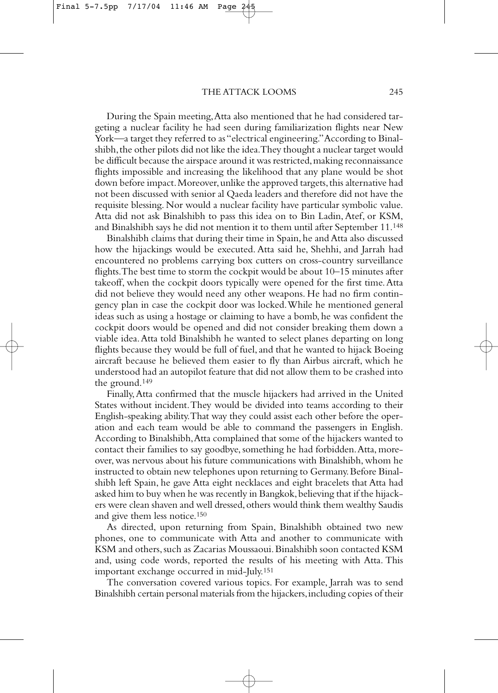During the Spain meeting,Atta also mentioned that he had considered targeting a nuclear facility he had seen during familiarization flights near New York—a target they referred to as "electrical engineering."According to Binalshibh, the other pilots did not like the idea. They thought a nuclear target would be difficult because the airspace around it was restricted, making reconnaissance flights impossible and increasing the likelihood that any plane would be shot down before impact. Moreover, unlike the approved targets, this alternative had not been discussed with senior al Qaeda leaders and therefore did not have the requisite blessing. Nor would a nuclear facility have particular symbolic value. Atta did not ask Binalshibh to pass this idea on to Bin Ladin, Atef, or KSM, and Binalshibh says he did not mention it to them until after September 11.148

Binalshibh claims that during their time in Spain, he and Atta also discussed how the hijackings would be executed. Atta said he, Shehhi, and Jarrah had encountered no problems carrying box cutters on cross-country surveillance flights.The best time to storm the cockpit would be about 10–15 minutes after takeoff, when the cockpit doors typically were opened for the first time.Atta did not believe they would need any other weapons. He had no firm contingency plan in case the cockpit door was locked.While he mentioned general ideas such as using a hostage or claiming to have a bomb, he was confident the cockpit doors would be opened and did not consider breaking them down a viable idea.Atta told Binalshibh he wanted to select planes departing on long flights because they would be full of fuel, and that he wanted to hijack Boeing aircraft because he believed them easier to fly than Airbus aircraft, which he understood had an autopilot feature that did not allow them to be crashed into the ground.149

Finally,Atta confirmed that the muscle hijackers had arrived in the United States without incident.They would be divided into teams according to their English-speaking ability.That way they could assist each other before the operation and each team would be able to command the passengers in English. According to Binalshibh,Atta complained that some of the hijackers wanted to contact their families to say goodbye, something he had forbidden.Atta, moreover, was nervous about his future communications with Binalshibh, whom he instructed to obtain new telephones upon returning to Germany.Before Binalshibh left Spain, he gave Atta eight necklaces and eight bracelets that Atta had asked him to buy when he was recently in Bangkok, believing that if the hijackers were clean shaven and well dressed, others would think them wealthy Saudis and give them less notice.150

As directed, upon returning from Spain, Binalshibh obtained two new phones, one to communicate with Atta and another to communicate with KSM and others,such as Zacarias Moussaoui.Binalshibh soon contacted KSM and, using code words, reported the results of his meeting with Atta. This important exchange occurred in mid-July.151

The conversation covered various topics. For example, Jarrah was to send Binalshibh certain personal materials from the hijackers, including copies of their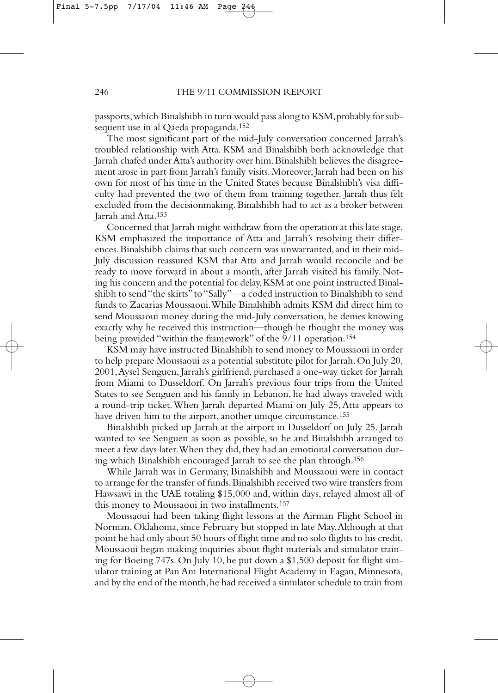passports, which Binalshibh in turn would pass along to KSM, probably for subsequent use in al Qaeda propaganda.<sup>152</sup>

The most significant part of the mid-July conversation concerned Jarrah's troubled relationship with Atta. KSM and Binalshibh both acknowledge that Jarrah chafed under Atta's authority over him.Binalshibh believes the disagreement arose in part from Jarrah's family visits. Moreover, Jarrah had been on his own for most of his time in the United States because Binalshibh's visa difficulty had prevented the two of them from training together. Jarrah thus felt excluded from the decisionmaking. Binalshibh had to act as a broker between Jarrah and Atta.153

Concerned that Jarrah might withdraw from the operation at this late stage, KSM emphasized the importance of Atta and Jarrah's resolving their differences.Binalshibh claims that such concern was unwarranted,and in their mid-July discussion reassured KSM that Atta and Jarrah would reconcile and be ready to move forward in about a month, after Jarrah visited his family. Noting his concern and the potential for delay,KSM at one point instructed Binalshibh to send "the skirts" to "Sally"—a coded instruction to Binalshibh to send funds to Zacarias Moussaoui.While Binalshibh admits KSM did direct him to send Moussaoui money during the mid-July conversation, he denies knowing exactly why he received this instruction—though he thought the money was being provided "within the framework" of the 9/11 operation.154

KSM may have instructed Binalshibh to send money to Moussaoui in order to help prepare Moussaoui as a potential substitute pilot for Jarrah.On July 20, 2001,Aysel Senguen, Jarrah's girlfriend, purchased a one-way ticket for Jarrah from Miami to Dusseldorf. On Jarrah's previous four trips from the United States to see Senguen and his family in Lebanon, he had always traveled with a round-trip ticket.When Jarrah departed Miami on July 25, Atta appears to have driven him to the airport, another unique circumstance.<sup>155</sup>

Binalshibh picked up Jarrah at the airport in Dusseldorf on July 25. Jarrah wanted to see Senguen as soon as possible, so he and Binalshibh arranged to meet a few days later. When they did, they had an emotional conversation during which Binalshibh encouraged Jarrah to see the plan through.156

While Jarrah was in Germany, Binalshibh and Moussaoui were in contact to arrange for the transfer of funds.Binalshibh received two wire transfers from Hawsawi in the UAE totaling \$15,000 and, within days, relayed almost all of this money to Moussaoui in two installments.157

Moussaoui had been taking flight lessons at the Airman Flight School in Norman, Oklahoma, since February but stopped in late May.Although at that point he had only about 50 hours of flight time and no solo flights to his credit, Moussaoui began making inquiries about flight materials and simulator training for Boeing 747s. On July 10, he put down a \$1,500 deposit for flight simulator training at Pan Am International Flight Academy in Eagan, Minnesota, and by the end of the month, he had received a simulator schedule to train from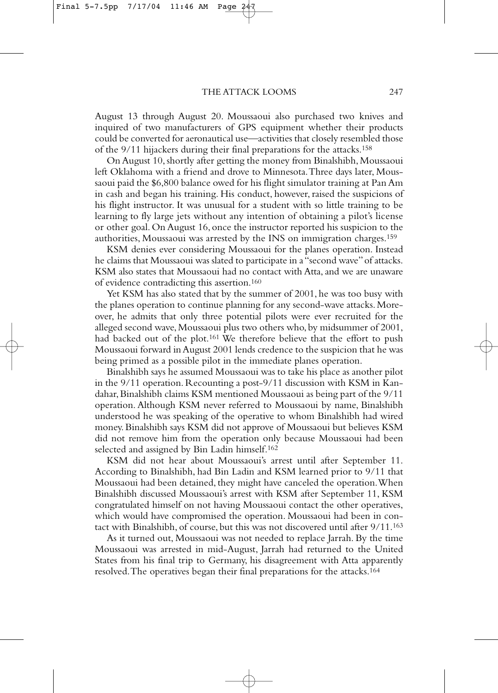August 13 through August 20. Moussaoui also purchased two knives and inquired of two manufacturers of GPS equipment whether their products could be converted for aeronautical use—activities that closely resembled those of the 9/11 hijackers during their final preparations for the attacks.158

On August 10, shortly after getting the money from Binalshibh, Moussaoui left Oklahoma with a friend and drove to Minnesota.Three days later, Moussaoui paid the \$6,800 balance owed for his flight simulator training at Pan Am in cash and began his training. His conduct, however, raised the suspicions of his flight instructor. It was unusual for a student with so little training to be learning to fly large jets without any intention of obtaining a pilot's license or other goal. On August 16, once the instructor reported his suspicion to the authorities, Moussaoui was arrested by the INS on immigration charges.159

KSM denies ever considering Moussaoui for the planes operation. Instead he claims that Moussaoui was slated to participate in a "second wave" of attacks. KSM also states that Moussaoui had no contact with Atta, and we are unaware of evidence contradicting this assertion.160

Yet KSM has also stated that by the summer of 2001, he was too busy with the planes operation to continue planning for any second-wave attacks.Moreover, he admits that only three potential pilots were ever recruited for the alleged second wave, Moussaoui plus two others who, by midsummer of 2001, had backed out of the plot.161 We therefore believe that the effort to push Moussaoui forward in August 2001 lends credence to the suspicion that he was being primed as a possible pilot in the immediate planes operation.

Binalshibh says he assumed Moussaoui was to take his place as another pilot in the 9/11 operation. Recounting a post-9/11 discussion with KSM in Kandahar, Binalshibh claims KSM mentioned Moussaoui as being part of the 9/11 operation. Although KSM never referred to Moussaoui by name, Binalshibh understood he was speaking of the operative to whom Binalshibh had wired money. Binalshibh says KSM did not approve of Moussaoui but believes KSM did not remove him from the operation only because Moussaoui had been selected and assigned by Bin Ladin himself.162

KSM did not hear about Moussaoui's arrest until after September 11. According to Binalshibh, had Bin Ladin and KSM learned prior to 9/11 that Moussaoui had been detained, they might have canceled the operation.When Binalshibh discussed Moussaoui's arrest with KSM after September 11, KSM congratulated himself on not having Moussaoui contact the other operatives, which would have compromised the operation. Moussaoui had been in contact with Binalshibh, of course, but this was not discovered until after 9/11.163

As it turned out, Moussaoui was not needed to replace Jarrah. By the time Moussaoui was arrested in mid-August, Jarrah had returned to the United States from his final trip to Germany, his disagreement with Atta apparently resolved.The operatives began their final preparations for the attacks.164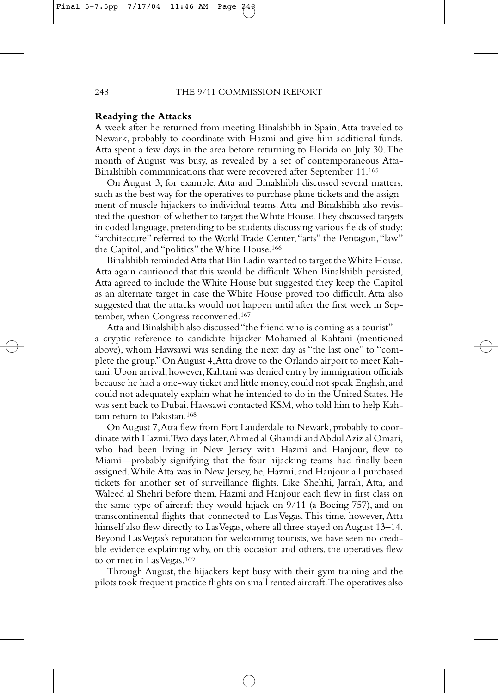#### **Readying the Attacks**

A week after he returned from meeting Binalshibh in Spain,Atta traveled to Newark, probably to coordinate with Hazmi and give him additional funds. Atta spent a few days in the area before returning to Florida on July 30.The month of August was busy, as revealed by a set of contemporaneous Atta-Binalshibh communications that were recovered after September 11.165

On August 3, for example, Atta and Binalshibh discussed several matters, such as the best way for the operatives to purchase plane tickets and the assignment of muscle hijackers to individual teams. Atta and Binalshibh also revisited the question of whether to target the White House.They discussed targets in coded language, pretending to be students discussing various fields of study: "architecture" referred to the World Trade Center, "arts" the Pentagon, "law" the Capitol, and "politics" the White House.166

Binalshibh reminded Atta that Bin Ladin wanted to target the White House. Atta again cautioned that this would be difficult.When Binalshibh persisted, Atta agreed to include the White House but suggested they keep the Capitol as an alternate target in case the White House proved too difficult. Atta also suggested that the attacks would not happen until after the first week in September, when Congress reconvened.167

Atta and Binalshibh also discussed "the friend who is coming as a tourist" a cryptic reference to candidate hijacker Mohamed al Kahtani (mentioned above), whom Hawsawi was sending the next day as "the last one" to "complete the group."On August 4,Atta drove to the Orlando airport to meet Kahtani. Upon arrival, however, Kahtani was denied entry by immigration officials because he had a one-way ticket and little money,could not speak English,and could not adequately explain what he intended to do in the United States. He was sent back to Dubai. Hawsawi contacted KSM, who told him to help Kahtani return to Pakistan.168

On August 7,Atta flew from Fort Lauderdale to Newark, probably to coordinate with Hazmi.Two days later,Ahmed al Ghamdi and Abdul Aziz al Omari, who had been living in New Jersey with Hazmi and Hanjour, flew to Miami—probably signifying that the four hijacking teams had finally been assigned.While Atta was in New Jersey, he, Hazmi, and Hanjour all purchased tickets for another set of surveillance flights. Like Shehhi, Jarrah, Atta, and Waleed al Shehri before them, Hazmi and Hanjour each flew in first class on the same type of aircraft they would hijack on 9/11 (a Boeing 757), and on transcontinental flights that connected to Las Vegas.This time, however, Atta himself also flew directly to Las Vegas, where all three stayed on August 13–14. Beyond Las Vegas's reputation for welcoming tourists, we have seen no credible evidence explaining why, on this occasion and others, the operatives flew to or met in Las Vegas.169

Through August, the hijackers kept busy with their gym training and the pilots took frequent practice flights on small rented aircraft.The operatives also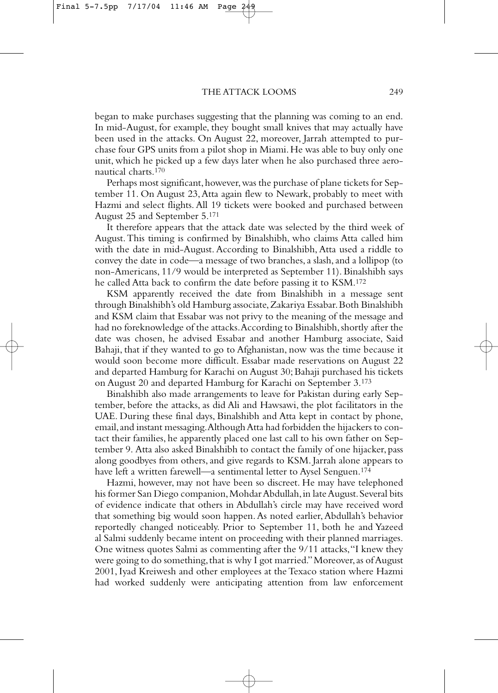began to make purchases suggesting that the planning was coming to an end. In mid-August, for example, they bought small knives that may actually have been used in the attacks. On August 22, moreover, Jarrah attempted to purchase four GPS units from a pilot shop in Miami.He was able to buy only one unit, which he picked up a few days later when he also purchased three aeronautical charts.170

Perhaps most significant, however, was the purchase of plane tickets for September 11. On August 23,Atta again flew to Newark, probably to meet with Hazmi and select flights. All 19 tickets were booked and purchased between August 25 and September 5.171

It therefore appears that the attack date was selected by the third week of August.This timing is confirmed by Binalshibh, who claims Atta called him with the date in mid-August. According to Binalshibh, Atta used a riddle to convey the date in code—a message of two branches, a slash, and a lollipop (to non-Americans, 11/9 would be interpreted as September 11). Binalshibh says he called Atta back to confirm the date before passing it to KSM.172

KSM apparently received the date from Binalshibh in a message sent through Binalshibh's old Hamburg associate,Zakariya Essabar.Both Binalshibh and KSM claim that Essabar was not privy to the meaning of the message and had no foreknowledge of the attacks. According to Binalshibh, shortly after the date was chosen, he advised Essabar and another Hamburg associate, Said Bahaji, that if they wanted to go to Afghanistan, now was the time because it would soon become more difficult. Essabar made reservations on August 22 and departed Hamburg for Karachi on August 30; Bahaji purchased his tickets on August 20 and departed Hamburg for Karachi on September 3.173

Binalshibh also made arrangements to leave for Pakistan during early September, before the attacks, as did Ali and Hawsawi, the plot facilitators in the UAE. During these final days, Binalshibh and Atta kept in contact by phone, email,and instant messaging.Although Atta had forbidden the hijackers to contact their families, he apparently placed one last call to his own father on September 9. Atta also asked Binalshibh to contact the family of one hijacker, pass along goodbyes from others, and give regards to KSM. Jarrah alone appears to have left a written farewell—a sentimental letter to Aysel Senguen.<sup>174</sup>

Hazmi, however, may not have been so discreet. He may have telephoned his former San Diego companion, Mohdar Abdullah, in late August. Several bits of evidence indicate that others in Abdullah's circle may have received word that something big would soon happen.As noted earlier,Abdullah's behavior reportedly changed noticeably. Prior to September 11, both he and Yazeed al Salmi suddenly became intent on proceeding with their planned marriages. One witness quotes Salmi as commenting after the 9/11 attacks,"I knew they were going to do something, that is why I got married." Moreover, as of August 2001, Iyad Kreiwesh and other employees at the Texaco station where Hazmi had worked suddenly were anticipating attention from law enforcement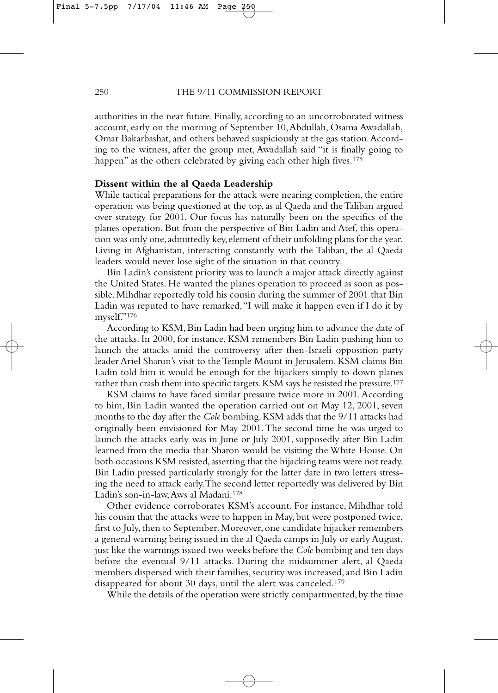authorities in the near future. Finally, according to an uncorroborated witness account, early on the morning of September 10, Abdullah, Osama Awadallah, Omar Bakarbashat, and others behaved suspiciously at the gas station.According to the witness, after the group met, Awadallah said "it is finally going to happen" as the others celebrated by giving each other high fives.<sup>175</sup>

# **Dissent within the al Qaeda Leadership**

While tactical preparations for the attack were nearing completion, the entire operation was being questioned at the top, as al Qaeda and the Taliban argued over strategy for 2001. Our focus has naturally been on the specifics of the planes operation. But from the perspective of Bin Ladin and Atef, this operation was only one, admittedly key, element of their unfolding plans for the year. Living in Afghanistan, interacting constantly with the Taliban, the al Qaeda leaders would never lose sight of the situation in that country.

Bin Ladin's consistent priority was to launch a major attack directly against the United States. He wanted the planes operation to proceed as soon as possible. Mihdhar reportedly told his cousin during the summer of 2001 that Bin Ladin was reputed to have remarked,"I will make it happen even if I do it by myself."176

According to KSM, Bin Ladin had been urging him to advance the date of the attacks. In 2000, for instance, KSM remembers Bin Ladin pushing him to launch the attacks amid the controversy after then-Israeli opposition party leader Ariel Sharon's visit to the Temple Mount in Jerusalem. KSM claims Bin Ladin told him it would be enough for the hijackers simply to down planes rather than crash them into specific targets. KSM says he resisted the pressure.<sup>177</sup>

KSM claims to have faced similar pressure twice more in 2001.According to him, Bin Ladin wanted the operation carried out on May 12, 2001, seven months to the day after the *Cole* bombing.KSM adds that the 9/11 attacks had originally been envisioned for May 2001.The second time he was urged to launch the attacks early was in June or July 2001, supposedly after Bin Ladin learned from the media that Sharon would be visiting the White House. On both occasions KSM resisted, asserting that the hijacking teams were not ready. Bin Ladin pressed particularly strongly for the latter date in two letters stressing the need to attack early.The second letter reportedly was delivered by Bin Ladin's son-in-law,Aws al Madani.178

Other evidence corroborates KSM's account. For instance, Mihdhar told his cousin that the attacks were to happen in May, but were postponed twice, first to July, then to September. Moreover, one candidate hijacker remembers a general warning being issued in the al Qaeda camps in July or early August, just like the warnings issued two weeks before the *Cole* bombing and ten days before the eventual 9/11 attacks. During the midsummer alert, al Qaeda members dispersed with their families, security was increased, and Bin Ladin disappeared for about 30 days, until the alert was canceled.179

While the details of the operation were strictly compartmented, by the time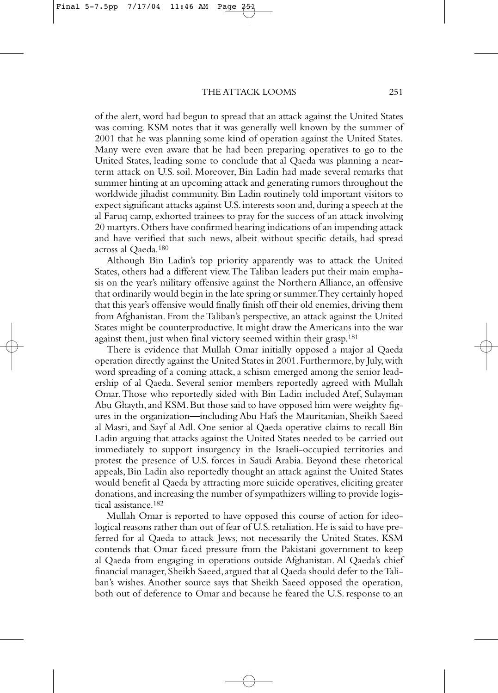of the alert, word had begun to spread that an attack against the United States was coming. KSM notes that it was generally well known by the summer of 2001 that he was planning some kind of operation against the United States. Many were even aware that he had been preparing operatives to go to the United States, leading some to conclude that al Qaeda was planning a nearterm attack on U.S. soil. Moreover, Bin Ladin had made several remarks that summer hinting at an upcoming attack and generating rumors throughout the worldwide jihadist community. Bin Ladin routinely told important visitors to expect significant attacks against U.S.interests soon and,during a speech at the al Faruq camp, exhorted trainees to pray for the success of an attack involving 20 martyrs.Others have confirmed hearing indications of an impending attack and have verified that such news, albeit without specific details, had spread across al Qaeda.180

Although Bin Ladin's top priority apparently was to attack the United States, others had a different view.The Taliban leaders put their main emphasis on the year's military offensive against the Northern Alliance, an offensive that ordinarily would begin in the late spring or summer.They certainly hoped that this year's offensive would finally finish off their old enemies, driving them from Afghanistan. From the Taliban's perspective, an attack against the United States might be counterproductive. It might draw the Americans into the war against them, just when final victory seemed within their grasp.181

There is evidence that Mullah Omar initially opposed a major al Qaeda operation directly against the United States in 2001. Furthermore, by July, with word spreading of a coming attack, a schism emerged among the senior leadership of al Qaeda. Several senior members reportedly agreed with Mullah Omar.Those who reportedly sided with Bin Ladin included Atef, Sulayman Abu Ghayth, and KSM. But those said to have opposed him were weighty figures in the organization—including Abu Hafs the Mauritanian, Sheikh Saeed al Masri, and Sayf al Adl. One senior al Qaeda operative claims to recall Bin Ladin arguing that attacks against the United States needed to be carried out immediately to support insurgency in the Israeli-occupied territories and protest the presence of U.S. forces in Saudi Arabia. Beyond these rhetorical appeals, Bin Ladin also reportedly thought an attack against the United States would benefit al Qaeda by attracting more suicide operatives, eliciting greater donations,and increasing the number of sympathizers willing to provide logistical assistance.182

Mullah Omar is reported to have opposed this course of action for ideological reasons rather than out of fear of U.S. retaliation. He is said to have preferred for al Qaeda to attack Jews, not necessarily the United States. KSM contends that Omar faced pressure from the Pakistani government to keep al Qaeda from engaging in operations outside Afghanistan. Al Qaeda's chief financial manager, Sheikh Saeed, argued that al Qaeda should defer to the Taliban's wishes. Another source says that Sheikh Saeed opposed the operation, both out of deference to Omar and because he feared the U.S. response to an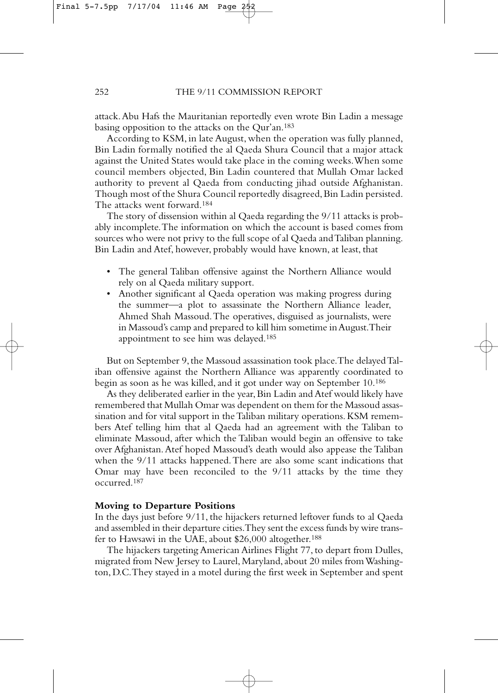attack.Abu Hafs the Mauritanian reportedly even wrote Bin Ladin a message basing opposition to the attacks on the Qur'an.183

According to KSM, in late August, when the operation was fully planned, Bin Ladin formally notified the al Qaeda Shura Council that a major attack against the United States would take place in the coming weeks.When some council members objected, Bin Ladin countered that Mullah Omar lacked authority to prevent al Qaeda from conducting jihad outside Afghanistan. Though most of the Shura Council reportedly disagreed,Bin Ladin persisted. The attacks went forward.184

The story of dissension within al Qaeda regarding the 9/11 attacks is probably incomplete.The information on which the account is based comes from sources who were not privy to the full scope of al Qaeda and Taliban planning. Bin Ladin and Atef, however, probably would have known, at least, that

- The general Taliban offensive against the Northern Alliance would rely on al Qaeda military support.
- Another significant al Qaeda operation was making progress during the summer—a plot to assassinate the Northern Alliance leader, Ahmed Shah Massoud.The operatives, disguised as journalists, were in Massoud's camp and prepared to kill him sometime in August.Their appointment to see him was delayed.185

But on September 9, the Massoud assassination took place. The delayed Taliban offensive against the Northern Alliance was apparently coordinated to begin as soon as he was killed, and it got under way on September 10.186

As they deliberated earlier in the year,Bin Ladin and Atef would likely have remembered that Mullah Omar was dependent on them for the Massoud assassination and for vital support in the Taliban military operations. KSM remembers Atef telling him that al Qaeda had an agreement with the Taliban to eliminate Massoud, after which the Taliban would begin an offensive to take over Afghanistan.Atef hoped Massoud's death would also appease the Taliban when the 9/11 attacks happened.There are also some scant indications that Omar may have been reconciled to the 9/11 attacks by the time they occurred.187

#### **Moving to Departure Positions**

In the days just before 9/11, the hijackers returned leftover funds to al Qaeda and assembled in their departure cities.They sent the excess funds by wire transfer to Hawsawi in the UAE, about \$26,000 altogether.188

The hijackers targeting American Airlines Flight 77, to depart from Dulles, migrated from New Jersey to Laurel, Maryland, about 20 miles from Washington, D.C.They stayed in a motel during the first week in September and spent